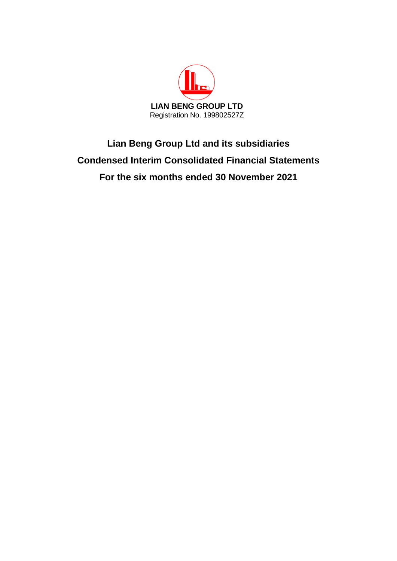

# **Lian Beng Group Ltd and its subsidiaries Condensed Interim Consolidated Financial Statements For the six months ended 30 November 2021**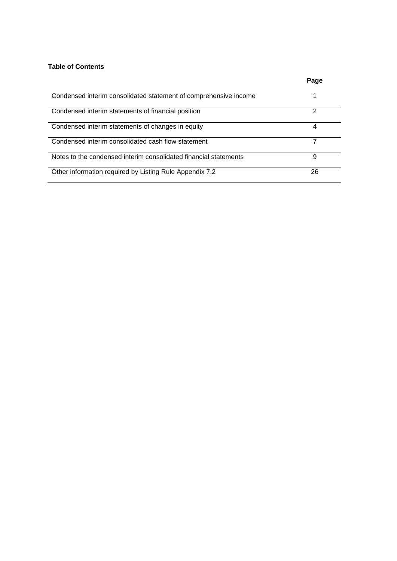# **Table of Contents**

|                                                                  | Page |
|------------------------------------------------------------------|------|
| Condensed interim consolidated statement of comprehensive income |      |
| Condensed interim statements of financial position               | っ    |
| Condensed interim statements of changes in equity                | 4    |
| Condensed interim consolidated cash flow statement               |      |
| Notes to the condensed interim consolidated financial statements | 9    |
| Other information required by Listing Rule Appendix 7.2          | 26   |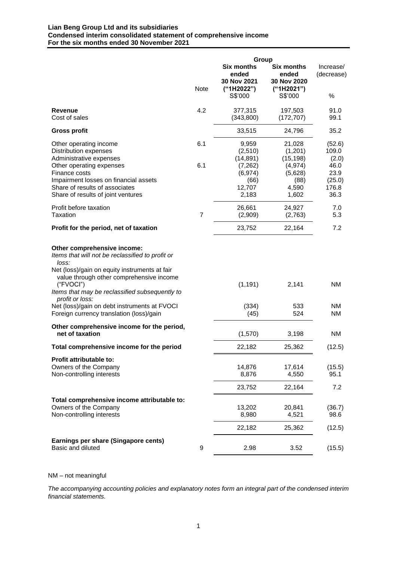#### **Lian Beng Group Ltd and its subsidiaries Condensed interim consolidated statement of comprehensive income For the six months ended 30 November 2021**

|                                                                                                                                                                                                                                                                         |                | Group                                                                            |                                                                                 |                                                                     |
|-------------------------------------------------------------------------------------------------------------------------------------------------------------------------------------------------------------------------------------------------------------------------|----------------|----------------------------------------------------------------------------------|---------------------------------------------------------------------------------|---------------------------------------------------------------------|
|                                                                                                                                                                                                                                                                         | <b>Note</b>    | <b>Six months</b><br>ended<br>30 Nov 2021<br>("1H2022")<br>S\$'000               | <b>Six months</b><br>ended<br>30 Nov 2020<br>("1H2021")<br>S\$'000              | Increase/<br>(decrease)<br>%                                        |
| Revenue<br>Cost of sales                                                                                                                                                                                                                                                | 4.2            | 377,315<br>(343,800)                                                             | 197,503<br>(172, 707)                                                           | 91.0<br>99.1                                                        |
| <b>Gross profit</b>                                                                                                                                                                                                                                                     |                | 33,515                                                                           | 24,796                                                                          | 35.2                                                                |
| Other operating income<br><b>Distribution expenses</b><br>Administrative expenses<br>Other operating expenses<br>Finance costs<br>Impairment losses on financial assets<br>Share of results of associates<br>Share of results of joint ventures                         | 6.1<br>6.1     | 9,959<br>(2,510)<br>(14, 891)<br>(7, 262)<br>(6, 974)<br>(66)<br>12,707<br>2,183 | 21,028<br>(1,201)<br>(15, 198)<br>(4, 974)<br>(5,628)<br>(88)<br>4,590<br>1,602 | (52.6)<br>109.0<br>(2.0)<br>46.0<br>23.9<br>(25.0)<br>176.8<br>36.3 |
| Profit before taxation<br><b>Taxation</b>                                                                                                                                                                                                                               | $\overline{7}$ | 26,661<br>(2,909)                                                                | 24,927<br>(2,763)                                                               | 7.0<br>5.3                                                          |
| Profit for the period, net of taxation                                                                                                                                                                                                                                  |                | 23,752                                                                           | 22,164                                                                          | 7.2                                                                 |
| Other comprehensive income:<br>Items that will not be reclassified to profit or<br>loss:<br>Net (loss)/gain on equity instruments at fair<br>value through other comprehensive income<br>("FVOCI")<br>Items that may be reclassified subsequently to<br>profit or loss: |                | (1, 191)                                                                         | 2,141                                                                           | <b>NM</b>                                                           |
| Net (loss)/gain on debt instruments at FVOCI<br>Foreign currency translation (loss)/gain                                                                                                                                                                                |                | (334)<br>(45)                                                                    | 533<br>524                                                                      | <b>NM</b><br>NM.                                                    |
| Other comprehensive income for the period,<br>net of taxation                                                                                                                                                                                                           |                | (1,570)                                                                          | 3,198                                                                           | NM                                                                  |
| Total comprehensive income for the period                                                                                                                                                                                                                               |                | 22,182                                                                           | 25,362                                                                          | (12.5)                                                              |
| Profit attributable to:<br>Owners of the Company<br>Non-controlling interests                                                                                                                                                                                           |                | 14,876<br>8,876<br>23,752                                                        | 17,614<br>4,550<br>22,164                                                       | (15.5)<br>95.1<br>7.2                                               |
| Total comprehensive income attributable to:<br>Owners of the Company<br>Non-controlling interests                                                                                                                                                                       |                | 13,202<br>8,980                                                                  | 20,841<br>4,521                                                                 | (36.7)<br>98.6                                                      |
|                                                                                                                                                                                                                                                                         |                | 22,182                                                                           | 25,362                                                                          | (12.5)                                                              |
| Earnings per share (Singapore cents)<br>Basic and diluted                                                                                                                                                                                                               | 9              | 2.98                                                                             | 3.52                                                                            | (15.5)                                                              |

NM – not meaningful

*The accompanying accounting policies and explanatory notes form an integral part of the condensed interim financial statements.*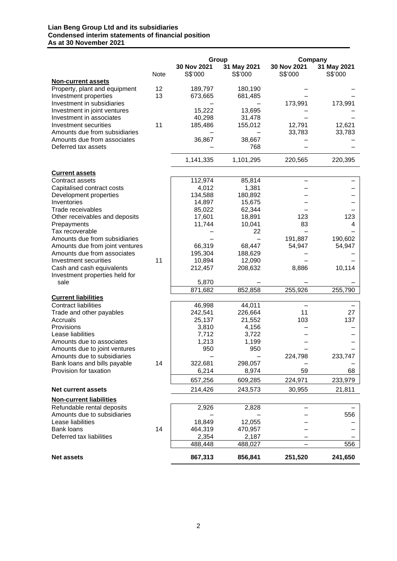#### **Lian Beng Group Ltd and its subsidiaries Condensed interim statements of financial position As at 30 November 2021**

|                                                           |      |                        | Group                  | Company                |                        |
|-----------------------------------------------------------|------|------------------------|------------------------|------------------------|------------------------|
|                                                           | Note | 30 Nov 2021<br>S\$'000 | 31 May 2021<br>S\$'000 | 30 Nov 2021<br>S\$'000 | 31 May 2021<br>S\$'000 |
| <b>Non-current assets</b>                                 |      |                        |                        |                        |                        |
| Property, plant and equipment                             | 12   | 189,797                | 180,190                |                        |                        |
| Investment properties                                     | 13   | 673,665                | 681,485                |                        |                        |
| Investment in subsidiaries                                |      |                        |                        | 173,991                | 173,991                |
| Investment in joint ventures                              |      | 15,222                 | 13,695                 |                        |                        |
| Investment in associates                                  |      | 40,298                 | 31,478                 |                        |                        |
| Investment securities                                     | 11   | 185,486                | 155,012                | 12,791                 | 12,621                 |
| Amounts due from subsidiaries                             |      |                        |                        | 33,783                 | 33,783                 |
| Amounts due from associates                               |      | 36,867                 | 38,667                 |                        |                        |
| Deferred tax assets                                       |      |                        | 768                    |                        |                        |
|                                                           |      | 1,141,335              | 1,101,295              | 220,565                | 220,395                |
| <b>Current assets</b>                                     |      |                        |                        |                        |                        |
| <b>Contract assets</b>                                    |      | 112,974                | 85,814                 |                        |                        |
| Capitalised contract costs                                |      | 4,012                  | 1,381                  |                        |                        |
| Development properties                                    |      | 134,588                | 180,892                |                        |                        |
| Inventories                                               |      | 14,897                 | 15,675                 |                        |                        |
| Trade receivables                                         |      | 85,022                 | 62,344                 |                        |                        |
| Other receivables and deposits                            |      | 17,601                 | 18,891                 | 123                    | 123                    |
| Prepayments                                               |      | 11,744                 | 10,041                 | 83                     | 4                      |
| Tax recoverable                                           |      |                        | 22                     |                        |                        |
| Amounts due from subsidiaries                             |      |                        |                        | 191,887                | 190,602                |
| Amounts due from joint ventures                           |      | 66,319                 | 68,447                 | 54,947                 | 54,947                 |
| Amounts due from associates                               |      | 195,304                | 188,629                |                        |                        |
| Investment securities                                     | 11   | 10,894                 | 12,090                 |                        |                        |
| Cash and cash equivalents                                 |      | 212,457                | 208,632                | 8,886                  | 10,114                 |
| Investment properties held for                            |      |                        |                        |                        |                        |
| sale                                                      |      | 5,870                  |                        |                        |                        |
|                                                           |      | 871,682                | 852,858                | 255,926                | 255,790                |
| <b>Current liabilities</b><br><b>Contract liabilities</b> |      | 46,998                 | 44,011                 |                        |                        |
| Trade and other payables                                  |      | 242,541                | 226,664                | 11                     | 27                     |
| Accruals                                                  |      | 25,137                 | 21,552                 | 103                    | 137                    |
| Provisions                                                |      | 3,810                  | 4,156                  |                        |                        |
| Lease liabilities                                         |      | 7,712                  | 3,722                  |                        |                        |
| Amounts due to associates                                 |      | 1,213                  | 1,199                  |                        |                        |
| Amounts due to joint ventures                             |      | 950                    | 950                    |                        |                        |
| Amounts due to subsidiaries                               |      |                        |                        | 224,798                | 233,747                |
| Bank loans and bills payable                              | 14   | 322,681                | 298,057                |                        |                        |
| Provision for taxation                                    |      | 6,214                  | 8,974                  | 59                     | 68                     |
|                                                           |      | 657,256                | 609,285                | 224,971                | 233,979                |
| <b>Net current assets</b>                                 |      | 214,426                | 243,573                | 30,955                 | 21,811                 |
| <b>Non-current liabilities</b>                            |      |                        |                        |                        |                        |
| Refundable rental deposits                                |      | 2,926                  | 2,828                  |                        |                        |
| Amounts due to subsidiaries                               |      |                        |                        |                        | 556                    |
| Lease liabilities                                         |      | 18,849                 | 12,055                 |                        |                        |
| Bank loans                                                | 14   | 464,319                | 470,957                |                        |                        |
| Deferred tax liabilities                                  |      | 2,354                  | 2,187                  |                        |                        |
|                                                           |      | 488,448                | 488,027                |                        | 556                    |
| <b>Net assets</b>                                         |      | 867,313                | 856,841                | 251,520                | 241,650                |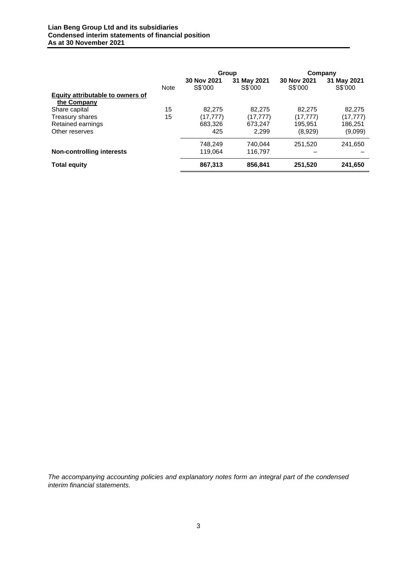|                                  |             | Group                  |                        | Company                |                        |  |
|----------------------------------|-------------|------------------------|------------------------|------------------------|------------------------|--|
|                                  | <b>Note</b> | 30 Nov 2021<br>S\$'000 | 31 May 2021<br>S\$'000 | 30 Nov 2021<br>S\$'000 | 31 May 2021<br>S\$'000 |  |
| Equity attributable to owners of |             |                        |                        |                        |                        |  |
| the Company                      |             |                        |                        |                        |                        |  |
| Share capital                    | 15          | 82.275                 | 82,275                 | 82.275                 | 82,275                 |  |
| Treasury shares                  | 15          | (17.777)               | (17.777)               | (17.777)               | (17.777)               |  |
| Retained earnings                |             | 683,326                | 673,247                | 195,951                | 186,251                |  |
| Other reserves                   |             | 425                    | 2.299                  | (8,929)                | (9,099)                |  |
|                                  |             | 748.249                | 740.044                | 251.520                | 241,650                |  |
| <b>Non-controlling interests</b> |             | 119.064                | 116.797                |                        |                        |  |
| <b>Total equity</b>              |             | 867,313                | 856,841                | 251,520                | 241,650                |  |

*The accompanying accounting policies and explanatory notes form an integral part of the condensed interim financial statements.*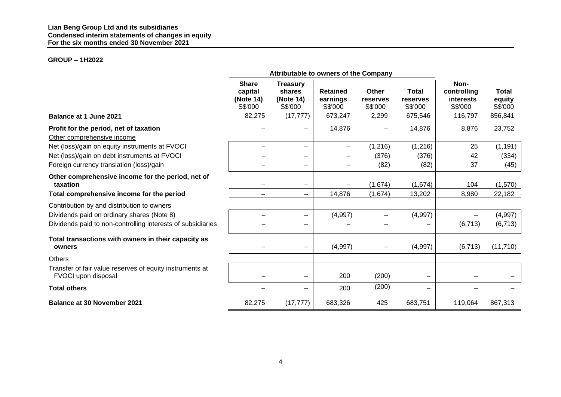# **GROUP – 1H2022**

|                                                                                 |                                                           | Attributable to owners of the Company                          |                                                   |                                       |                                                |                                                        |                                              |
|---------------------------------------------------------------------------------|-----------------------------------------------------------|----------------------------------------------------------------|---------------------------------------------------|---------------------------------------|------------------------------------------------|--------------------------------------------------------|----------------------------------------------|
|                                                                                 | <b>Share</b><br>capital<br>(Note 14)<br>S\$'000<br>82,275 | <b>Treasury</b><br>shares<br>(Note 14)<br>S\$'000<br>(17, 777) | <b>Retained</b><br>earnings<br>S\$'000<br>673,247 | Other<br>reserves<br>S\$'000<br>2,299 | <b>Total</b><br>reserves<br>S\$'000<br>675,546 | Non-<br>controlling<br>interests<br>S\$'000<br>116,797 | <b>Total</b><br>equity<br>S\$'000<br>856,841 |
| Balance at 1 June 2021                                                          |                                                           |                                                                |                                                   |                                       |                                                |                                                        |                                              |
| Profit for the period, net of taxation<br>Other comprehensive income            |                                                           |                                                                | 14,876                                            |                                       | 14,876                                         | 8,876                                                  | 23,752                                       |
| Net (loss)/gain on equity instruments at FVOCI                                  |                                                           |                                                                | $\qquad \qquad -$                                 | (1,216)                               | (1,216)                                        | 25                                                     | (1, 191)                                     |
| Net (loss)/gain on debt instruments at FVOCI                                    |                                                           |                                                                |                                                   | (376)                                 | (376)                                          | 42                                                     | (334)                                        |
| Foreign currency translation (loss)/gain                                        |                                                           |                                                                |                                                   | (82)                                  | (82)                                           | 37                                                     | (45)                                         |
| Other comprehensive income for the period, net of<br>taxation                   |                                                           |                                                                |                                                   | (1,674)                               | (1,674)                                        | 104                                                    | (1,570)                                      |
| Total comprehensive income for the period                                       | —                                                         |                                                                | 14,876                                            | (1,674)                               | 13,202                                         | 8,980                                                  | 22,182                                       |
| Contribution by and distribution to owners                                      |                                                           |                                                                |                                                   |                                       |                                                |                                                        |                                              |
| Dividends paid on ordinary shares (Note 8)                                      |                                                           |                                                                | (4,997)                                           |                                       | (4,997)                                        |                                                        | (4,997)                                      |
| Dividends paid to non-controlling interests of subsidiaries                     |                                                           |                                                                |                                                   |                                       |                                                | (6, 713)                                               | (6, 713)                                     |
| Total transactions with owners in their capacity as<br>owners                   |                                                           |                                                                | (4,997)                                           |                                       | (4,997)                                        | (6, 713)                                               | (11, 710)                                    |
| Others                                                                          |                                                           |                                                                |                                                   |                                       |                                                |                                                        |                                              |
| Transfer of fair value reserves of equity instruments at<br>FVOCI upon disposal |                                                           |                                                                | 200                                               | (200)                                 |                                                |                                                        |                                              |
| <b>Total others</b>                                                             |                                                           |                                                                | 200                                               | (200)                                 | $\overline{\phantom{m}}$                       |                                                        |                                              |
| <b>Balance at 30 November 2021</b>                                              | 82,275                                                    | (17, 777)                                                      | 683,326                                           | 425                                   | 683,751                                        | 119,064                                                | 867,313                                      |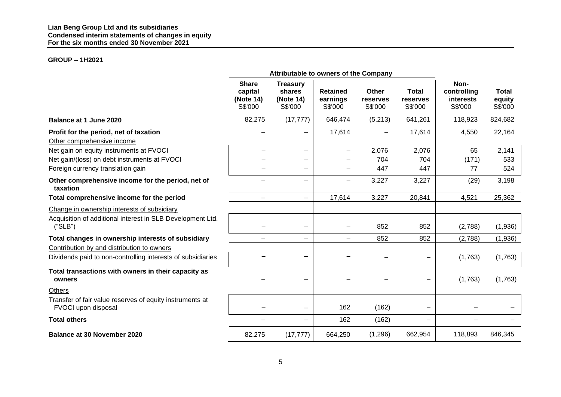# **GROUP – 1H2021**

|                                                                                                                      |                                                 | Attributable to owners of the Company             |                                        |                              |                                     |                                             |                                   |
|----------------------------------------------------------------------------------------------------------------------|-------------------------------------------------|---------------------------------------------------|----------------------------------------|------------------------------|-------------------------------------|---------------------------------------------|-----------------------------------|
|                                                                                                                      | <b>Share</b><br>capital<br>(Note 14)<br>S\$'000 | <b>Treasury</b><br>shares<br>(Note 14)<br>S\$'000 | <b>Retained</b><br>earnings<br>S\$'000 | Other<br>reserves<br>S\$'000 | <b>Total</b><br>reserves<br>S\$'000 | Non-<br>controlling<br>interests<br>S\$'000 | <b>Total</b><br>equity<br>S\$'000 |
| Balance at 1 June 2020                                                                                               | 82,275                                          | (17, 777)                                         | 646,474                                | (5,213)                      | 641,261                             | 118,923                                     | 824,682                           |
| Profit for the period, net of taxation<br>Other comprehensive income                                                 |                                                 |                                                   | 17,614                                 |                              | 17,614                              | 4,550                                       | 22,164                            |
| Net gain on equity instruments at FVOCI                                                                              |                                                 |                                                   |                                        | 2,076                        | 2,076                               | 65                                          | 2,141                             |
| Net gain/(loss) on debt instruments at FVOCI                                                                         |                                                 |                                                   |                                        | 704                          | 704                                 | (171)                                       | 533                               |
| Foreign currency translation gain                                                                                    |                                                 | —                                                 |                                        | 447                          | 447                                 | 77                                          | 524                               |
| Other comprehensive income for the period, net of<br>taxation                                                        |                                                 | -                                                 | $\equiv$                               | 3,227                        | 3,227                               | (29)                                        | 3,198                             |
| Total comprehensive income for the period                                                                            | -                                               | -                                                 | 17,614                                 | 3,227                        | 20,841                              | 4,521                                       | 25,362                            |
| Change in ownership interests of subsidiary<br>Acquisition of additional interest in SLB Development Ltd.<br>("SLB") |                                                 |                                                   |                                        | 852                          | 852                                 | (2,788)                                     | (1,936)                           |
| Total changes in ownership interests of subsidiary                                                                   | $\overline{\phantom{0}}$                        | $\equiv$                                          | $\equiv$                               | 852                          | 852                                 | (2,788)                                     | (1,936)                           |
| Contribution by and distribution to owners                                                                           |                                                 |                                                   |                                        |                              |                                     |                                             |                                   |
| Dividends paid to non-controlling interests of subsidiaries                                                          |                                                 |                                                   |                                        |                              | —                                   | (1,763)                                     | (1,763)                           |
| Total transactions with owners in their capacity as<br>owners                                                        |                                                 |                                                   |                                        |                              | $\qquad \qquad \blacksquare$        | (1,763)                                     | (1,763)                           |
| <b>Others</b>                                                                                                        |                                                 |                                                   |                                        |                              |                                     |                                             |                                   |
| Transfer of fair value reserves of equity instruments at<br>FVOCI upon disposal                                      |                                                 | -                                                 | 162                                    | (162)                        | $\overline{\phantom{m}}$            |                                             |                                   |
| <b>Total others</b>                                                                                                  | -                                               |                                                   | 162                                    | (162)                        | $\equiv$                            | -                                           |                                   |
| <b>Balance at 30 November 2020</b>                                                                                   | 82,275                                          | (17, 777)                                         | 664,250                                | (1,296)                      | 662,954                             | 118,893                                     | 846,345                           |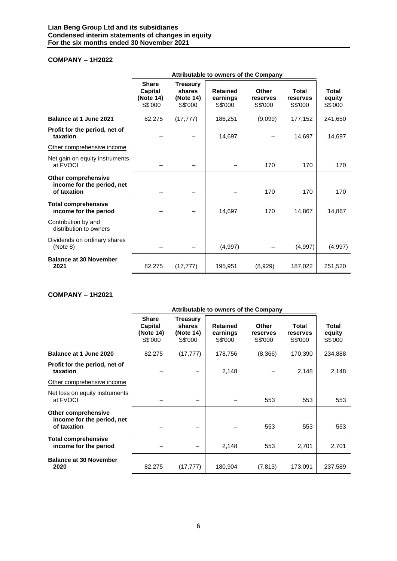# **COMPANY – 1H2022**

|                                                                  | Attributable to owners of the Company           |                                                   |                                        |                              |                                     |                                   |  |  |  |  |
|------------------------------------------------------------------|-------------------------------------------------|---------------------------------------------------|----------------------------------------|------------------------------|-------------------------------------|-----------------------------------|--|--|--|--|
|                                                                  | <b>Share</b><br>Capital<br>(Note 14)<br>S\$'000 | <b>Treasury</b><br>shares<br>(Note 14)<br>S\$'000 | <b>Retained</b><br>earnings<br>S\$'000 | Other<br>reserves<br>S\$'000 | <b>Total</b><br>reserves<br>S\$'000 | <b>Total</b><br>equity<br>S\$'000 |  |  |  |  |
| Balance at 1 June 2021                                           | 82,275                                          | (17, 777)                                         | 186,251                                | (9,099)                      | 177,152                             | 241,650                           |  |  |  |  |
| Profit for the period, net of<br>taxation                        |                                                 |                                                   | 14,697                                 |                              | 14,697                              | 14,697                            |  |  |  |  |
| Other comprehensive income                                       |                                                 |                                                   |                                        |                              |                                     |                                   |  |  |  |  |
| Net gain on equity instruments<br>at FVOCI                       |                                                 |                                                   |                                        | 170                          | 170                                 | 170                               |  |  |  |  |
| Other comprehensive<br>income for the period, net<br>of taxation |                                                 |                                                   |                                        | 170                          | 170                                 | 170                               |  |  |  |  |
| <b>Total comprehensive</b><br>income for the period              |                                                 |                                                   | 14,697                                 | 170                          | 14,867                              | 14,867                            |  |  |  |  |
| Contribution by and<br>distribution to owners                    |                                                 |                                                   |                                        |                              |                                     |                                   |  |  |  |  |
| Dividends on ordinary shares<br>(Note 8)                         |                                                 |                                                   | (4,997)                                |                              | (4,997)                             | (4,997)                           |  |  |  |  |
| <b>Balance at 30 November</b><br>2021                            | 82,275                                          | (17, 777)                                         | 195,951                                | (8,929)                      | 187,022                             | 251,520                           |  |  |  |  |

# **COMPANY – 1H2021**

|                                                                         | Attributable to owners of the Company           |                                                   |                                        |                              |                              |                                   |  |  |  |  |
|-------------------------------------------------------------------------|-------------------------------------------------|---------------------------------------------------|----------------------------------------|------------------------------|------------------------------|-----------------------------------|--|--|--|--|
|                                                                         | <b>Share</b><br>Capital<br>(Note 14)<br>S\$'000 | <b>Treasury</b><br>shares<br>(Note 14)<br>S\$'000 | <b>Retained</b><br>earnings<br>S\$'000 | Other<br>reserves<br>S\$'000 | Total<br>reserves<br>S\$'000 | <b>Total</b><br>equity<br>S\$'000 |  |  |  |  |
| Balance at 1 June 2020                                                  | 82,275                                          | (17, 777)                                         | 178,756                                | (8,366)                      | 170,390                      | 234,888                           |  |  |  |  |
| Profit for the period, net of<br>taxation                               |                                                 |                                                   | 2,148                                  |                              | 2,148                        | 2,148                             |  |  |  |  |
| Other comprehensive income                                              |                                                 |                                                   |                                        |                              |                              |                                   |  |  |  |  |
| Net loss on equity instruments<br>at FVOCI                              |                                                 |                                                   |                                        | 553                          | 553                          | 553                               |  |  |  |  |
| <b>Other comprehensive</b><br>income for the period, net<br>of taxation |                                                 |                                                   |                                        | 553                          | 553                          | 553                               |  |  |  |  |
| <b>Total comprehensive</b><br>income for the period                     |                                                 |                                                   | 2,148                                  | 553                          | 2,701                        | 2,701                             |  |  |  |  |
| <b>Balance at 30 November</b><br>2020                                   | 82,275                                          | (17, 777)                                         | 180,904                                | (7, 813)                     | 173,091                      | 237,589                           |  |  |  |  |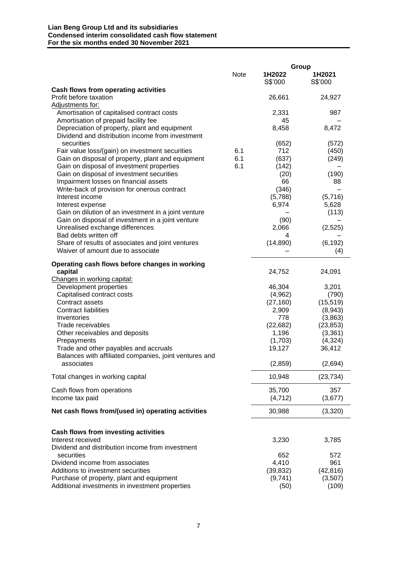#### **Lian Beng Group Ltd and its subsidiaries Condensed interim consolidated cash flow statement For the six months ended 30 November 2021**

|                                                                                                      |            | Group        |                |
|------------------------------------------------------------------------------------------------------|------------|--------------|----------------|
|                                                                                                      | Note       | 1H2022       | 1H2021         |
|                                                                                                      |            | S\$'000      | S\$'000        |
| Cash flows from operating activities                                                                 |            |              |                |
| Profit before taxation                                                                               |            | 26,661       | 24,927         |
| Adjustments for:                                                                                     |            |              |                |
| Amortisation of capitalised contract costs                                                           |            | 2,331        | 987            |
| Amortisation of prepaid facility fee                                                                 |            | 45           |                |
| Depreciation of property, plant and equipment                                                        |            | 8,458        | 8,472          |
| Dividend and distribution income from investment                                                     |            |              |                |
| securities                                                                                           |            | (652)        | (572)          |
| Fair value loss/(gain) on investment securities<br>Gain on disposal of property, plant and equipment | 6.1<br>6.1 | 712<br>(637) | (450)<br>(249) |
| Gain on disposal of investment properties                                                            | 6.1        | (142)        |                |
| Gain on disposal of investment securities                                                            |            | (20)         | (190)          |
| Impairment losses on financial assets                                                                |            | 66           | 88             |
| Write-back of provision for onerous contract                                                         |            | (346)        |                |
| Interest income                                                                                      |            | (5,788)      | (5,716)        |
| Interest expense                                                                                     |            | 6,974        | 5,628          |
| Gain on dilution of an investment in a joint venture                                                 |            |              | (113)          |
| Gain on disposal of investment in a joint venture                                                    |            | (90)         |                |
| Unrealised exchange differences                                                                      |            | 2,066        | (2,525)        |
| Bad debts written off                                                                                |            | 4            |                |
| Share of results of associates and joint ventures                                                    |            | (14, 890)    | (6, 192)       |
| Waiver of amount due to associate                                                                    |            |              | (4)            |
|                                                                                                      |            |              |                |
| Operating cash flows before changes in working                                                       |            |              |                |
| capital                                                                                              |            | 24,752       | 24,091         |
| Changes in working capital:<br>Development properties                                                |            | 46,304       | 3,201          |
| Capitalised contract costs                                                                           |            | (4,962)      | (790)          |
| Contract assets                                                                                      |            | (27, 160)    | (15, 519)      |
| <b>Contract liabilities</b>                                                                          |            | 2,909        | (8,943)        |
| Inventories                                                                                          |            | 778          | (3,863)        |
| Trade receivables                                                                                    |            | (22, 682)    | (23, 853)      |
| Other receivables and deposits                                                                       |            | 1,196        | (3,361)        |
| Prepayments                                                                                          |            | (1,703)      | (4,324)        |
| Trade and other payables and accruals                                                                |            | 19,127       | 36,412         |
| Balances with affiliated companies, joint ventures and                                               |            |              |                |
| associates                                                                                           |            | (2, 859)     | (2,694)        |
|                                                                                                      |            | 10,948       |                |
| Total changes in working capital                                                                     |            |              | (23, 734)      |
| Cash flows from operations                                                                           |            | 35,700       | 357            |
| Income tax paid                                                                                      |            | (4, 712)     | (3,677)        |
|                                                                                                      |            |              |                |
| Net cash flows from/(used in) operating activities                                                   |            | 30,988       | (3,320)        |
|                                                                                                      |            |              |                |
| <b>Cash flows from investing activities</b>                                                          |            |              |                |
| Interest received                                                                                    |            | 3,230        | 3,785          |
| Dividend and distribution income from investment                                                     |            |              |                |
| securities                                                                                           |            | 652          | 572            |
| Dividend income from associates                                                                      |            | 4,410        | 961            |
| Additions to investment securities                                                                   |            | (39, 832)    | (42, 816)      |
| Purchase of property, plant and equipment                                                            |            | (9,741)      | (3, 507)       |
| Additional investments in investment properties                                                      |            | (50)         | (109)          |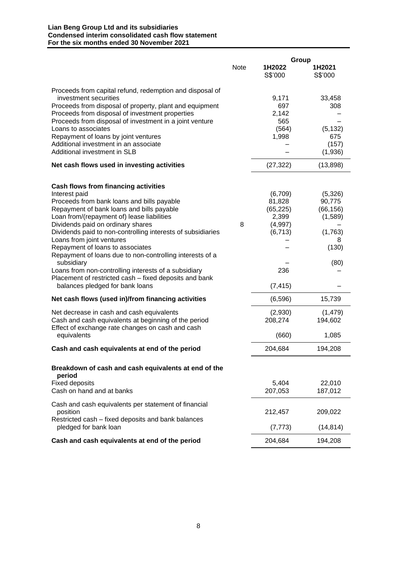#### **Lian Beng Group Ltd and its subsidiaries Condensed interim consolidated cash flow statement For the six months ended 30 November 2021**

|                                                                                                                                                                                                                                                                                                                                                                                                                                                   |      | Group                                                       |                                                                  |
|---------------------------------------------------------------------------------------------------------------------------------------------------------------------------------------------------------------------------------------------------------------------------------------------------------------------------------------------------------------------------------------------------------------------------------------------------|------|-------------------------------------------------------------|------------------------------------------------------------------|
|                                                                                                                                                                                                                                                                                                                                                                                                                                                   | Note | 1H2022<br>S\$'000                                           | 1H2021<br>S\$'000                                                |
| Proceeds from capital refund, redemption and disposal of<br>investment securities<br>Proceeds from disposal of property, plant and equipment<br>Proceeds from disposal of investment properties<br>Proceeds from disposal of investment in a joint venture<br>Loans to associates<br>Repayment of loans by joint ventures<br>Additional investment in an associate<br>Additional investment in SLB<br>Net cash flows used in investing activities |      | 9,171<br>697<br>2,142<br>565<br>(564)<br>1,998<br>(27, 322) | 33,458<br>308<br>(5, 132)<br>675<br>(157)<br>(1,936)<br>(13,898) |
| <b>Cash flows from financing activities</b><br>Interest paid<br>Proceeds from bank loans and bills payable<br>Repayment of bank loans and bills payable                                                                                                                                                                                                                                                                                           |      | (6,709)<br>81,828<br>(65, 225)                              | (5,326)<br>90,775<br>(66, 156)                                   |
| Loan from/(repayment of) lease liabilities<br>Dividends paid on ordinary shares<br>Dividends paid to non-controlling interests of subsidiaries<br>Loans from joint ventures<br>Repayment of loans to associates                                                                                                                                                                                                                                   | 8    | 2,399<br>(4,997)<br>(6, 713)                                | (1,589)<br>(1,763)<br>8<br>(130)                                 |
| Repayment of loans due to non-controlling interests of a<br>subsidiary<br>Loans from non-controlling interests of a subsidiary<br>Placement of restricted cash - fixed deposits and bank<br>balances pledged for bank loans                                                                                                                                                                                                                       |      | 236<br>(7, 415)                                             | (80)                                                             |
| Net cash flows (used in)/from financing activities                                                                                                                                                                                                                                                                                                                                                                                                |      | (6,596)                                                     | 15,739                                                           |
| Net decrease in cash and cash equivalents<br>Cash and cash equivalents at beginning of the period<br>Effect of exchange rate changes on cash and cash                                                                                                                                                                                                                                                                                             |      | (2,930)<br>208,274                                          | (1, 479)<br>194,602                                              |
| equivalents                                                                                                                                                                                                                                                                                                                                                                                                                                       |      | (660)<br>204,684                                            | 1,085<br>194,208                                                 |
| Cash and cash equivalents at end of the period<br>Breakdown of cash and cash equivalents at end of the<br>period<br><b>Fixed deposits</b><br>Cash on hand and at banks                                                                                                                                                                                                                                                                            |      | 5,404<br>207,053                                            | 22,010<br>187,012                                                |
| Cash and cash equivalents per statement of financial<br>position<br>Restricted cash – fixed deposits and bank balances                                                                                                                                                                                                                                                                                                                            |      | 212,457                                                     | 209,022                                                          |
| pledged for bank loan                                                                                                                                                                                                                                                                                                                                                                                                                             |      | (7, 773)                                                    | (14, 814)                                                        |
| Cash and cash equivalents at end of the period                                                                                                                                                                                                                                                                                                                                                                                                    |      | 204,684                                                     | 194,208                                                          |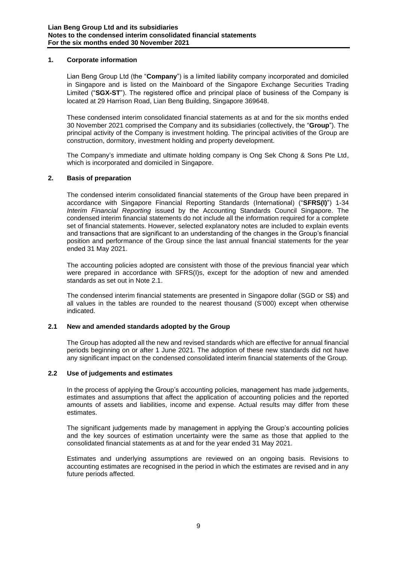### **1. Corporate information**

Lian Beng Group Ltd (the "**Company**") is a limited liability company incorporated and domiciled in Singapore and is listed on the Mainboard of the Singapore Exchange Securities Trading Limited ("**SGX-ST**"). The registered office and principal place of business of the Company is located at 29 Harrison Road, Lian Beng Building, Singapore 369648.

These condensed interim consolidated financial statements as at and for the six months ended 30 November 2021 comprised the Company and its subsidiaries (collectively, the "**Group**"). The principal activity of the Company is investment holding. The principal activities of the Group are construction, dormitory, investment holding and property development.

The Company's immediate and ultimate holding company is Ong Sek Chong & Sons Pte Ltd, which is incorporated and domiciled in Singapore.

#### **2. Basis of preparation**

The condensed interim consolidated financial statements of the Group have been prepared in accordance with Singapore Financial Reporting Standards (International) ("**SFRS(I)**") 1-34 *Interim Financial Reporting* issued by the Accounting Standards Council Singapore. The condensed interim financial statements do not include all the information required for a complete set of financial statements. However, selected explanatory notes are included to explain events and transactions that are significant to an understanding of the changes in the Group's financial position and performance of the Group since the last annual financial statements for the year ended 31 May 2021.

The accounting policies adopted are consistent with those of the previous financial year which were prepared in accordance with SFRS(I)s, except for the adoption of new and amended standards as set out in Note 2.1.

The condensed interim financial statements are presented in Singapore dollar (SGD or S\$) and all values in the tables are rounded to the nearest thousand (S'000) except when otherwise indicated.

#### **2.1 New and amended standards adopted by the Group**

The Group has adopted all the new and revised standards which are effective for annual financial periods beginning on or after 1 June 2021. The adoption of these new standards did not have any significant impact on the condensed consolidated interim financial statements of the Group.

#### **2.2 Use of judgements and estimates**

In the process of applying the Group's accounting policies, management has made judgements, estimates and assumptions that affect the application of accounting policies and the reported amounts of assets and liabilities, income and expense. Actual results may differ from these estimates.

The significant judgements made by management in applying the Group's accounting policies and the key sources of estimation uncertainty were the same as those that applied to the consolidated financial statements as at and for the year ended 31 May 2021.

Estimates and underlying assumptions are reviewed on an ongoing basis. Revisions to accounting estimates are recognised in the period in which the estimates are revised and in any future periods affected.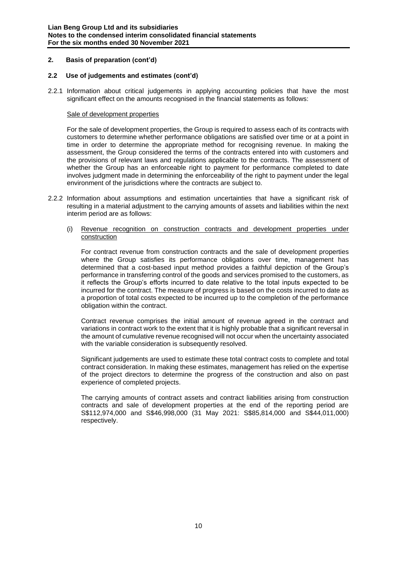#### **2. Basis of preparation (cont'd)**

#### **2.2 Use of judgements and estimates (cont'd)**

2.2.1 Information about critical judgements in applying accounting policies that have the most significant effect on the amounts recognised in the financial statements as follows:

#### Sale of development properties

For the sale of development properties, the Group is required to assess each of its contracts with customers to determine whether performance obligations are satisfied over time or at a point in time in order to determine the appropriate method for recognising revenue. In making the assessment, the Group considered the terms of the contracts entered into with customers and the provisions of relevant laws and regulations applicable to the contracts. The assessment of whether the Group has an enforceable right to payment for performance completed to date involves judgment made in determining the enforceability of the right to payment under the legal environment of the jurisdictions where the contracts are subject to.

- 2.2.2 Information about assumptions and estimation uncertainties that have a significant risk of resulting in a material adjustment to the carrying amounts of assets and liabilities within the next interim period are as follows:
	- (i) Revenue recognition on construction contracts and development properties under construction

For contract revenue from construction contracts and the sale of development properties where the Group satisfies its performance obligations over time, management has determined that a cost-based input method provides a faithful depiction of the Group's performance in transferring control of the goods and services promised to the customers, as it reflects the Group's efforts incurred to date relative to the total inputs expected to be incurred for the contract. The measure of progress is based on the costs incurred to date as a proportion of total costs expected to be incurred up to the completion of the performance obligation within the contract.

Contract revenue comprises the initial amount of revenue agreed in the contract and variations in contract work to the extent that it is highly probable that a significant reversal in the amount of cumulative revenue recognised will not occur when the uncertainty associated with the variable consideration is subsequently resolved.

Significant judgements are used to estimate these total contract costs to complete and total contract consideration. In making these estimates, management has relied on the expertise of the project directors to determine the progress of the construction and also on past experience of completed projects.

The carrying amounts of contract assets and contract liabilities arising from construction contracts and sale of development properties at the end of the reporting period are S\$112,974,000 and S\$46,998,000 (31 May 2021: S\$85,814,000 and S\$44,011,000) respectively.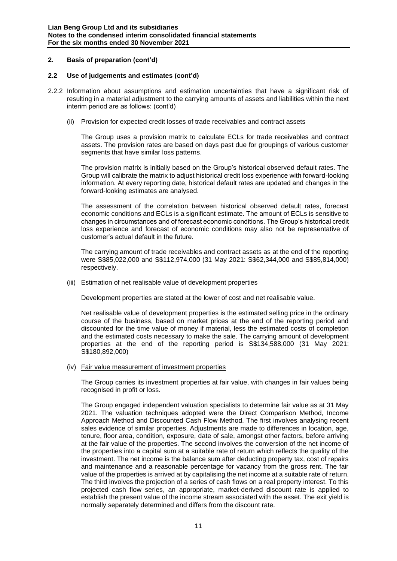# **2. Basis of preparation (cont'd)**

#### **2.2 Use of judgements and estimates (cont'd)**

2.2.2 Information about assumptions and estimation uncertainties that have a significant risk of resulting in a material adjustment to the carrying amounts of assets and liabilities within the next interim period are as follows: (cont'd)

#### (ii) Provision for expected credit losses of trade receivables and contract assets

The Group uses a provision matrix to calculate ECLs for trade receivables and contract assets. The provision rates are based on days past due for groupings of various customer segments that have similar loss patterns.

The provision matrix is initially based on the Group's historical observed default rates. The Group will calibrate the matrix to adjust historical credit loss experience with forward-looking information. At every reporting date, historical default rates are updated and changes in the forward-looking estimates are analysed.

The assessment of the correlation between historical observed default rates, forecast economic conditions and ECLs is a significant estimate. The amount of ECLs is sensitive to changes in circumstances and of forecast economic conditions. The Group's historical credit loss experience and forecast of economic conditions may also not be representative of customer's actual default in the future.

The carrying amount of trade receivables and contract assets as at the end of the reporting were S\$85,022,000 and S\$112,974,000 (31 May 2021: S\$62,344,000 and S\$85,814,000) respectively.

#### (iii) Estimation of net realisable value of development properties

Development properties are stated at the lower of cost and net realisable value.

Net realisable value of development properties is the estimated selling price in the ordinary course of the business, based on market prices at the end of the reporting period and discounted for the time value of money if material, less the estimated costs of completion and the estimated costs necessary to make the sale. The carrying amount of development properties at the end of the reporting period is S\$134,588,000 (31 May 2021: S\$180,892,000)

#### (iv) Fair value measurement of investment properties

The Group carries its investment properties at fair value, with changes in fair values being recognised in profit or loss.

The Group engaged independent valuation specialists to determine fair value as at 31 May 2021. The valuation techniques adopted were the Direct Comparison Method, Income Approach Method and Discounted Cash Flow Method. The first involves analysing recent sales evidence of similar properties. Adjustments are made to differences in location, age, tenure, floor area, condition, exposure, date of sale, amongst other factors, before arriving at the fair value of the properties. The second involves the conversion of the net income of the properties into a capital sum at a suitable rate of return which reflects the quality of the investment. The net income is the balance sum after deducting property tax, cost of repairs and maintenance and a reasonable percentage for vacancy from the gross rent. The fair value of the properties is arrived at by capitalising the net income at a suitable rate of return. The third involves the projection of a series of cash flows on a real property interest. To this projected cash flow series, an appropriate, market-derived discount rate is applied to establish the present value of the income stream associated with the asset. The exit yield is normally separately determined and differs from the discount rate.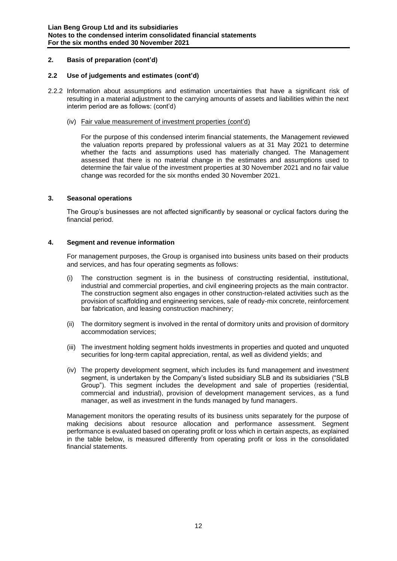# **2. Basis of preparation (cont'd)**

#### **2.2 Use of judgements and estimates (cont'd)**

- 2.2.2 Information about assumptions and estimation uncertainties that have a significant risk of resulting in a material adjustment to the carrying amounts of assets and liabilities within the next interim period are as follows: (cont'd)
	- (iv) Fair value measurement of investment properties (cont'd)

For the purpose of this condensed interim financial statements, the Management reviewed the valuation reports prepared by professional valuers as at 31 May 2021 to determine whether the facts and assumptions used has materially changed. The Management assessed that there is no material change in the estimates and assumptions used to determine the fair value of the investment properties at 30 November 2021 and no fair value change was recorded for the six months ended 30 November 2021.

#### **3. Seasonal operations**

The Group's businesses are not affected significantly by seasonal or cyclical factors during the financial period.

#### **4. Segment and revenue information**

For management purposes, the Group is organised into business units based on their products and services, and has four operating segments as follows:

- (i) The construction segment is in the business of constructing residential, institutional, industrial and commercial properties, and civil engineering projects as the main contractor. The construction segment also engages in other construction-related activities such as the provision of scaffolding and engineering services, sale of ready-mix concrete, reinforcement bar fabrication, and leasing construction machinery;
- (ii) The dormitory segment is involved in the rental of dormitory units and provision of dormitory accommodation services;
- (iii) The investment holding segment holds investments in properties and quoted and unquoted securities for long-term capital appreciation, rental, as well as dividend yields; and
- (iv) The property development segment, which includes its fund management and investment segment, is undertaken by the Company's listed subsidiary SLB and its subsidiaries ("SLB Group"). This segment includes the development and sale of properties (residential, commercial and industrial), provision of development management services, as a fund manager, as well as investment in the funds managed by fund managers.

Management monitors the operating results of its business units separately for the purpose of making decisions about resource allocation and performance assessment. Segment performance is evaluated based on operating profit or loss which in certain aspects, as explained in the table below, is measured differently from operating profit or loss in the consolidated financial statements.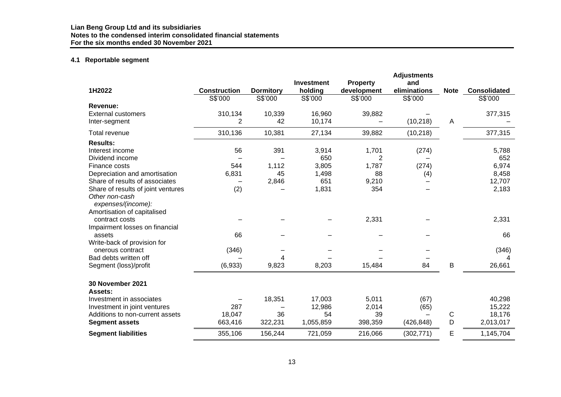# **4.1 Reportable segment**

|                                      |                     |                  | <b>Investment</b> |                                | <b>Adjustments</b><br>and |              |                     |
|--------------------------------------|---------------------|------------------|-------------------|--------------------------------|---------------------------|--------------|---------------------|
| 1H2022                               | <b>Construction</b> | <b>Dormitory</b> | holding           | <b>Property</b><br>development | eliminations              | <b>Note</b>  | <b>Consolidated</b> |
|                                      | S\$'000             | S\$'000          | S\$'000           | S\$'000                        | S\$'000                   |              | S\$'000             |
| Revenue:                             |                     |                  |                   |                                |                           |              |                     |
| <b>External customers</b>            | 310,134             | 10,339           | 16,960            | 39,882                         |                           |              | 377,315             |
| Inter-segment                        | $\overline{2}$      | 42               | 10,174            |                                | (10, 218)                 | A            |                     |
| Total revenue                        | 310,136             | 10,381           | 27,134            | 39,882                         | (10, 218)                 |              | 377,315             |
| <b>Results:</b>                      |                     |                  |                   |                                |                           |              |                     |
| Interest income                      | 56                  | 391              | 3,914             | 1,701                          | (274)                     |              | 5,788               |
| Dividend income                      |                     |                  | 650               | $\overline{2}$                 |                           |              | 652                 |
| Finance costs                        | 544                 | 1,112            | 3,805             | 1,787                          | (274)                     |              | 6,974               |
| Depreciation and amortisation        | 6,831               | 45               | 1,498             | 88                             | (4)                       |              | 8,458               |
| Share of results of associates       | -                   | 2,846            | 651               | 9,210                          |                           |              | 12,707              |
| Share of results of joint ventures   | (2)                 |                  | 1,831             | 354                            |                           |              | 2,183               |
| Other non-cash<br>expenses/(income): |                     |                  |                   |                                |                           |              |                     |
| Amortisation of capitalised          |                     |                  |                   |                                |                           |              |                     |
| contract costs                       |                     |                  |                   | 2,331                          |                           |              | 2,331               |
| Impairment losses on financial       |                     |                  |                   |                                |                           |              |                     |
| assets                               | 66                  |                  |                   |                                |                           |              | 66                  |
| Write-back of provision for          |                     |                  |                   |                                |                           |              |                     |
| onerous contract                     | (346)               |                  |                   |                                |                           |              | (346)               |
| Bad debts written off                |                     | 4                |                   |                                |                           |              |                     |
| Segment (loss)/profit                | (6,933)             | 9,823            | 8,203             | 15,484                         | 84                        | $\sf B$      | 26,661              |
| <b>30 November 2021</b>              |                     |                  |                   |                                |                           |              |                     |
| Assets:                              |                     |                  |                   |                                |                           |              |                     |
| Investment in associates             |                     | 18,351           | 17,003            | 5,011                          | (67)                      |              | 40,298              |
| Investment in joint ventures         | 287                 |                  | 12,986            | 2,014                          | (65)                      |              | 15,222              |
| Additions to non-current assets      | 18,047              | 36               | 54                | 39                             |                           | $\mathsf{C}$ | 18,176              |
| <b>Segment assets</b>                | 663,416             | 322,231          | 1,055,859         | 398,359                        | (426, 848)                | D            | 2,013,017           |
| <b>Segment liabilities</b>           | 355,106             | 156,244          | 721,059           | 216,066                        | (302, 771)                | E            | 1,145,704           |
|                                      |                     |                  |                   |                                |                           |              |                     |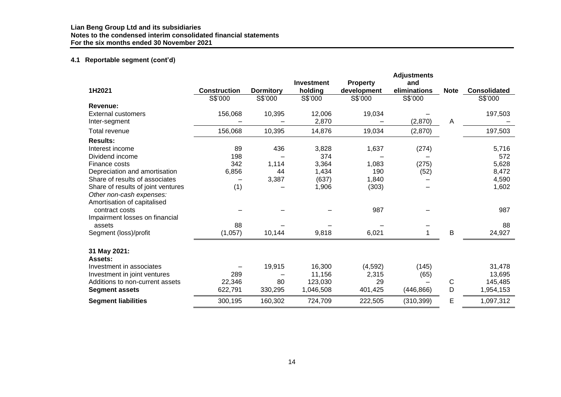# **4.1 Reportable segment (cont'd)**

|                                    |                     |                  | <b>Investment</b> | <b>Property</b> | <b>Adjustments</b><br>and |              |                     |
|------------------------------------|---------------------|------------------|-------------------|-----------------|---------------------------|--------------|---------------------|
| 1H2021                             | <b>Construction</b> | <b>Dormitory</b> | holding           | development     | eliminations              | <b>Note</b>  | <b>Consolidated</b> |
|                                    | S\$'000             | S\$'000          | S\$'000           | S\$'000         | S\$'000                   |              | S\$'000             |
| Revenue:                           |                     |                  |                   |                 |                           |              |                     |
| <b>External customers</b>          | 156,068             | 10,395           | 12,006            | 19,034          |                           |              | 197,503             |
| Inter-segment                      |                     |                  | 2,870             |                 | (2,870)                   | A            |                     |
| Total revenue                      | 156,068             | 10,395           | 14,876            | 19,034          | (2,870)                   |              | 197,503             |
| <b>Results:</b>                    |                     |                  |                   |                 |                           |              |                     |
| Interest income                    | 89                  | 436              | 3,828             | 1,637           | (274)                     |              | 5,716               |
| Dividend income                    | 198                 |                  | 374               |                 |                           |              | 572                 |
| Finance costs                      | 342                 | 1,114            | 3,364             | 1,083           | (275)                     |              | 5,628               |
| Depreciation and amortisation      | 6,856               | 44               | 1,434             | 190             | (52)                      |              | 8,472               |
| Share of results of associates     |                     | 3,387            | (637)             | 1,840           |                           |              | 4,590               |
| Share of results of joint ventures | (1)                 |                  | 1,906             | (303)           |                           |              | 1,602               |
| Other non-cash expenses:           |                     |                  |                   |                 |                           |              |                     |
| Amortisation of capitalised        |                     |                  |                   |                 |                           |              |                     |
| contract costs                     |                     |                  |                   | 987             |                           |              | 987                 |
| Impairment losses on financial     |                     |                  |                   |                 |                           |              |                     |
| assets                             | 88                  |                  |                   |                 |                           |              | 88                  |
| Segment (loss)/profit              | (1,057)             | 10,144           | 9,818             | 6,021           | 1                         | $\mathsf B$  | 24,927              |
| 31 May 2021:                       |                     |                  |                   |                 |                           |              |                     |
| Assets:                            |                     |                  |                   |                 |                           |              |                     |
| Investment in associates           |                     | 19,915           | 16,300            | (4, 592)        | (145)                     |              | 31,478              |
| Investment in joint ventures       | 289                 |                  | 11,156            | 2,315           | (65)                      |              | 13,695              |
| Additions to non-current assets    | 22,346              | 80               | 123,030           | 29              |                           | $\mathsf{C}$ | 145,485             |
| <b>Segment assets</b>              | 622,791             | 330,295          | 1,046,508         | 401,425         | (446, 866)                | D            | 1,954,153           |
| <b>Segment liabilities</b>         | 300,195             | 160,302          | 724,709           | 222,505         | (310, 399)                | E            | 1,097,312           |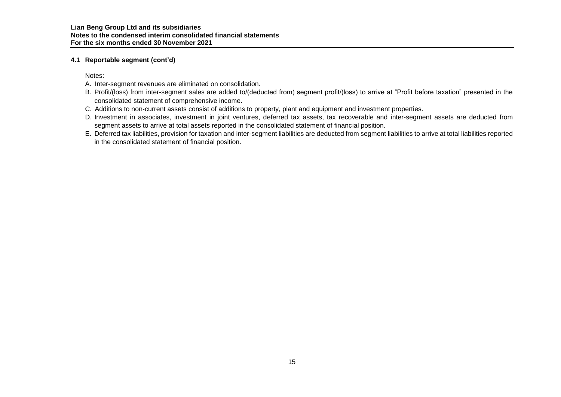# **4.1 Reportable segment (cont'd)**

Notes:

- A. Inter-segment revenues are eliminated on consolidation.
- B. Profit/(loss) from inter-segment sales are added to/(deducted from) segment profit/(loss) to arrive at "Profit before taxation" presented in the consolidated statement of comprehensive income.
- C. Additions to non-current assets consist of additions to property, plant and equipment and investment properties.
- D. Investment in associates, investment in joint ventures, deferred tax assets, tax recoverable and inter-segment assets are deducted from segment assets to arrive at total assets reported in the consolidated statement of financial position.
- E. Deferred tax liabilities, provision for taxation and inter-segment liabilities are deducted from segment liabilities to arrive at total liabilities reported in the consolidated statement of financial position.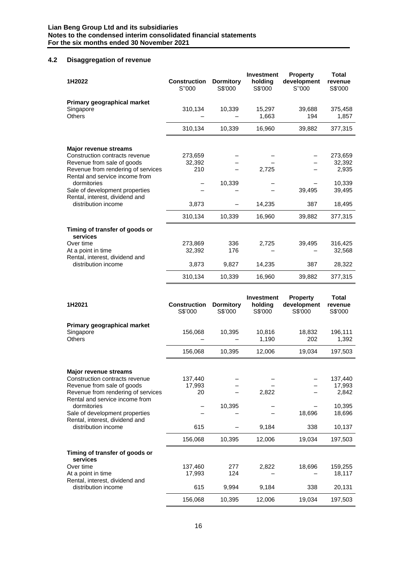# **4.2 Disaggregation of revenue**

| 1H2022                                                                                                                                                                                                                                                                         | <b>Construction</b><br>S"000                 | <b>Dormitory</b><br>S\$'000   | <b>Investment</b><br>holding<br>S\$'000 | <b>Property</b><br>development<br>S"000 | <b>Total</b><br>revenue<br>S\$'000                                  |
|--------------------------------------------------------------------------------------------------------------------------------------------------------------------------------------------------------------------------------------------------------------------------------|----------------------------------------------|-------------------------------|-----------------------------------------|-----------------------------------------|---------------------------------------------------------------------|
| Primary geographical market<br>Singapore<br><b>Others</b>                                                                                                                                                                                                                      | 310,134                                      | 10,339                        | 15,297<br>1,663                         | 39,688<br>194                           | 375,458<br>1,857                                                    |
|                                                                                                                                                                                                                                                                                | 310,134                                      | 10,339                        | 16,960                                  | 39,882                                  | 377,315                                                             |
| <b>Major revenue streams</b><br>Construction contracts revenue<br>Revenue from sale of goods<br>Revenue from rendering of services<br>Rental and service income from<br>dormitories<br>Sale of development properties<br>Rental, interest, dividend and<br>distribution income | 273,659<br>32,392<br>210<br>3,873<br>310,134 | 10,339<br>10,339              | 2,725<br>14,235<br>16,960               | 39,495<br>387<br>39,882                 | 273,659<br>32,392<br>2,935<br>10,339<br>39,495<br>18,495<br>377,315 |
| Timing of transfer of goods or<br>services<br>Over time<br>At a point in time<br>Rental, interest, dividend and<br>distribution income                                                                                                                                         | 273,869<br>32,392<br>3,873<br>310,134        | 336<br>176<br>9,827<br>10,339 | 2,725<br>14,235<br>16,960               | 39,495<br>387<br>39,882                 | 316,425<br>32,568<br>28,322<br>377,315                              |
|                                                                                                                                                                                                                                                                                |                                              |                               | $l$ nvootmant                           | <b>Dranartu</b>                         | エヘಕへし                                                               |

| 1H2021                                                               | <b>Construction</b><br>S\$'000 | <b>Dormitory</b><br>S\$'000 | <b>Investment</b><br>holding<br>S\$'000 | <b>Property</b><br>development<br>S\$'000 | Total<br>revenue<br>S\$'000 |
|----------------------------------------------------------------------|--------------------------------|-----------------------------|-----------------------------------------|-------------------------------------------|-----------------------------|
| Primary geographical market<br>Singapore<br><b>Others</b>            | 156,068                        | 10,395                      | 10,816<br>1,190                         | 18,832<br>202                             | 196,111<br>1,392            |
|                                                                      | 156,068                        | 10,395                      | 12,006                                  | 19,034                                    | 197,503                     |
| <b>Major revenue streams</b>                                         |                                |                             |                                         |                                           |                             |
| Construction contracts revenue                                       | 137,440                        |                             |                                         |                                           | 137,440                     |
| Revenue from sale of goods                                           | 17,993                         |                             |                                         |                                           | 17,993                      |
| Revenue from rendering of services<br>Rental and service income from | 20                             |                             | 2,822                                   |                                           | 2,842                       |
| dormitories                                                          |                                | 10,395                      |                                         |                                           | 10,395                      |
| Sale of development properties<br>Rental, interest, dividend and     |                                |                             |                                         | 18,696                                    | 18,696                      |
| distribution income                                                  | 615                            |                             | 9,184                                   | 338                                       | 10,137                      |
|                                                                      | 156,068                        | 10,395                      | 12,006                                  | 19,034                                    | 197,503                     |
| Timing of transfer of goods or<br>services                           |                                |                             |                                         |                                           |                             |
| Over time                                                            | 137,460                        | 277                         | 2,822                                   | 18,696                                    | 159,255                     |
| At a point in time<br>Rental, interest, dividend and                 | 17,993                         | 124                         |                                         |                                           | 18,117                      |
| distribution income                                                  | 615                            | 9,994                       | 9,184                                   | 338                                       | 20,131                      |
|                                                                      | 156,068                        | 10,395                      | 12,006                                  | 19,034                                    | 197,503                     |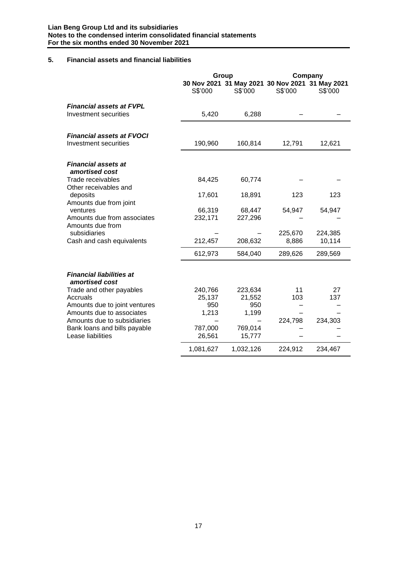# **5. Financial assets and financial liabilities**

|                                                                                       | Group                    |                                                            |                  | Company           |
|---------------------------------------------------------------------------------------|--------------------------|------------------------------------------------------------|------------------|-------------------|
|                                                                                       | S\$'000                  | 30 Nov 2021 31 May 2021 30 Nov 2021 31 May 2021<br>S\$'000 | S\$'000          | S\$'000           |
| <b>Financial assets at FVPL</b><br>Investment securities                              | 5,420                    | 6,288                                                      |                  |                   |
| <b>Financial assets at FVOCI</b><br>Investment securities                             | 190,960                  | 160,814                                                    | 12,791           | 12,621            |
| <b>Financial assets at</b><br>amortised cost<br>Trade receivables                     |                          |                                                            |                  |                   |
| Other receivables and<br>deposits                                                     | 84,425<br>17,601         | 60,774<br>18,891                                           | 123              | 123               |
| Amounts due from joint<br>ventures<br>Amounts due from associates<br>Amounts due from | 66,319<br>232,171        | 68,447<br>227,296                                          | 54,947           | 54,947            |
| subsidiaries<br>Cash and cash equivalents                                             | 212,457                  | 208,632                                                    | 225,670<br>8,886 | 224,385<br>10,114 |
|                                                                                       | 612,973                  | 584,040                                                    | 289,626          | 289,569           |
| <b>Financial liabilities at</b><br>amortised cost                                     |                          |                                                            |                  |                   |
| Trade and other payables<br>Accruals<br>Amounts due to joint ventures                 | 240,766<br>25,137<br>950 | 223,634<br>21,552<br>950                                   | 11<br>103        | 27<br>137         |
| Amounts due to associates<br>Amounts due to subsidiaries                              | 1,213                    | 1,199                                                      | 224,798          | 234,303           |
| Bank loans and bills payable<br>Lease liabilities                                     | 787,000<br>26,561        | 769,014<br>15,777                                          |                  |                   |
|                                                                                       | 1,081,627                | 1,032,126                                                  | 224,912          | 234,467           |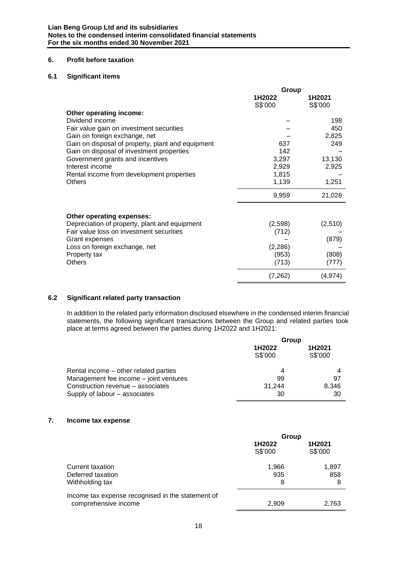# **6. Profit before taxation**

# **6.1 Significant items**

|                                                   | Group             |                   |  |
|---------------------------------------------------|-------------------|-------------------|--|
|                                                   | 1H2022<br>S\$'000 | 1H2021<br>S\$'000 |  |
| Other operating income:                           |                   |                   |  |
| Dividend income                                   |                   | 198               |  |
| Fair value gain on investment securities          |                   | 450               |  |
| Gain on foreign exchange, net                     |                   | 2,825             |  |
| Gain on disposal of property, plant and equipment | 637               | 249               |  |
| Gain on disposal of investment properties         | 142               |                   |  |
| Government grants and incentives                  | 3,297             | 13,130            |  |
| Interest income                                   | 2,929             | 2,925             |  |
| Rental income from development properties         | 1,815             |                   |  |
| <b>Others</b>                                     | 1,139             | 1,251             |  |
|                                                   | 9,959             | 21,028            |  |
| Other operating expenses:                         |                   |                   |  |
| Depreciation of property, plant and equipment     | (2,598)           | (2,510)           |  |
| Fair value loss on investment securities          | (712)             |                   |  |
| Grant expenses                                    |                   | (879)             |  |
| Loss on foreign exchange, net                     | (2, 286)          |                   |  |
| Property tax                                      | (953)             | (808)             |  |
| Others                                            | (713)             | (777)             |  |
|                                                   | (7, 262)          | (4,974)           |  |

# **6.2 Significant related party transaction**

In addition to the related party information disclosed elsewhere in the condensed interim financial statements, the following significant transactions between the Group and related parties took place at terms agreed between the parties during 1H2022 and 1H2021:

|                                        | Group             |                   |  |
|----------------------------------------|-------------------|-------------------|--|
|                                        | 1H2022<br>S\$'000 | 1H2021<br>S\$'000 |  |
| Rental income – other related parties  | 4                 |                   |  |
| Management fee income - joint ventures | 99                | 97                |  |
| Construction revenue – associates      | 31.244            | 8,346             |  |
| Supply of labour – associates          | 30                | 30                |  |

# **7. Income tax expense**

|                                                                           | Group             |                   |  |
|---------------------------------------------------------------------------|-------------------|-------------------|--|
|                                                                           | 1H2022<br>S\$'000 | 1H2021<br>S\$'000 |  |
| Current taxation<br>Deferred taxation<br>Withholding tax                  | 1,966<br>935<br>8 | 1,897<br>858<br>8 |  |
| Income tax expense recognised in the statement of<br>comprehensive income | 2,909             | 2.763             |  |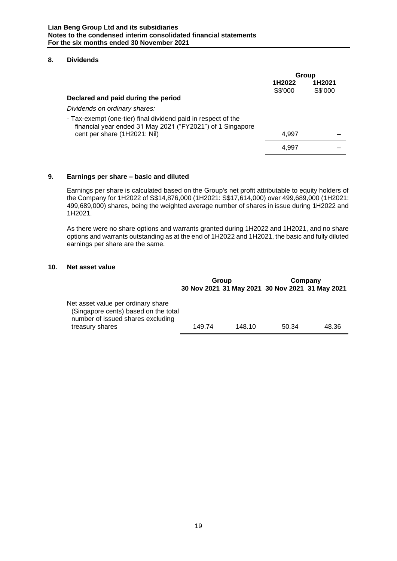### **8. Dividends**

|                                                                                                                             | Group             |                   |
|-----------------------------------------------------------------------------------------------------------------------------|-------------------|-------------------|
|                                                                                                                             | 1H2022<br>S\$'000 | 1H2021<br>S\$'000 |
| Declared and paid during the period                                                                                         |                   |                   |
| Dividends on ordinary shares:                                                                                               |                   |                   |
| - Tax-exempt (one-tier) final dividend paid in respect of the<br>financial year ended 31 May 2021 ("FY2021") of 1 Singapore |                   |                   |
| cent per share (1H2021: Nil)                                                                                                | 4.997             |                   |
|                                                                                                                             | 4.997             |                   |

# **9. Earnings per share – basic and diluted**

Earnings per share is calculated based on the Group's net profit attributable to equity holders of the Company for 1H2022 of S\$14,876,000 (1H2021: S\$17,614,000) over 499,689,000 (1H2021: 499,689,000) shares, being the weighted average number of shares in issue during 1H2022 and 1H2021.

As there were no share options and warrants granted during 1H2022 and 1H2021, and no share options and warrants outstanding as at the end of 1H2022 and 1H2021, the basic and fully diluted earnings per share are the same.

# **10. Net asset value**

|                                                                                                                                    | Group  |        | Company                                         |       |
|------------------------------------------------------------------------------------------------------------------------------------|--------|--------|-------------------------------------------------|-------|
|                                                                                                                                    |        |        | 30 Nov 2021 31 May 2021 30 Nov 2021 31 May 2021 |       |
| Net asset value per ordinary share<br>(Singapore cents) based on the total<br>number of issued shares excluding<br>treasury shares | 149.74 | 148.10 | 50.34                                           | 48.36 |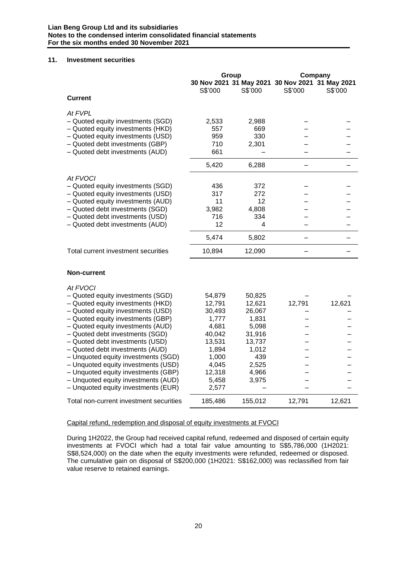#### **11. Investment securities**

|                                                                        | Group          |                | Company                                                    |         |
|------------------------------------------------------------------------|----------------|----------------|------------------------------------------------------------|---------|
|                                                                        | S\$'000        | S\$'000        | 30 Nov 2021 31 May 2021 30 Nov 2021 31 May 2021<br>S\$'000 | S\$'000 |
| <b>Current</b>                                                         |                |                |                                                            |         |
| At FVPL                                                                |                |                |                                                            |         |
| - Quoted equity investments (SGD)<br>- Quoted equity investments (HKD) | 2,533<br>557   | 2,988<br>669   |                                                            |         |
| - Quoted equity investments (USD)                                      | 959            | 330            |                                                            |         |
| - Quoted debt investments (GBP)                                        | 710            | 2,301          |                                                            |         |
| - Quoted debt investments (AUD)                                        | 661            |                |                                                            |         |
|                                                                        | 5,420          | 6,288          | <b>.</b>                                                   |         |
| At FVOCI                                                               |                |                |                                                            |         |
| - Quoted equity investments (SGD)                                      | 436            | 372            |                                                            |         |
| - Quoted equity investments (USD)                                      | 317            | 272            |                                                            |         |
| - Quoted equity investments (AUD)                                      | 11             | 12             |                                                            |         |
| - Quoted debt investments (SGD)<br>- Quoted debt investments (USD)     | 3,982<br>716   | 4,808<br>334   |                                                            |         |
| - Quoted debt investments (AUD)                                        | 12             | 4              |                                                            |         |
|                                                                        | 5,474          | 5,802          |                                                            |         |
| Total current investment securities                                    | 10,894         | 12,090         |                                                            |         |
|                                                                        |                |                |                                                            |         |
| <b>Non-current</b>                                                     |                |                |                                                            |         |
| At FVOCI                                                               |                |                |                                                            |         |
| - Quoted equity investments (SGD)                                      | 54,879         | 50,825         |                                                            |         |
| - Quoted equity investments (HKD)                                      | 12,791         | 12,621         | 12,791                                                     | 12,621  |
| - Quoted equity investments (USD)                                      | 30,493         | 26,067         |                                                            |         |
| - Quoted equity investments (GBP)<br>- Quoted equity investments (AUD) | 1,777<br>4,681 | 1,831<br>5,098 |                                                            |         |
| - Quoted debt investments (SGD)                                        | 40,042         | 31,916         |                                                            |         |
| - Quoted debt investments (USD)                                        | 13,531         | 13,737         |                                                            |         |
| - Quoted debt investments (AUD)                                        | 1,894          | 1,012          |                                                            |         |
| - Unquoted equity investments (SGD)                                    | 1,000          | 439            |                                                            |         |
| - Unquoted equity investments (USD)                                    | 4,045          | 2,525          |                                                            |         |
| - Unquoted equity investments (GBP)                                    | 12,318         | 4,966          |                                                            |         |
| - Unquoted equity investments (AUD)                                    | 5,458          | 3,975          |                                                            |         |
| - Unquoted equity investments (EUR)                                    | 2,577          |                |                                                            |         |
| Total non-current investment securities                                | 185,486        | 155,012        | 12,791                                                     | 12,621  |

# Capital refund, redemption and disposal of equity investments at FVOCI

During 1H2022, the Group had received capital refund, redeemed and disposed of certain equity investments at FVOCI which had a total fair value amounting to S\$5,786,000 (1H2021: S\$8,524,000) on the date when the equity investments were refunded, redeemed or disposed. The cumulative gain on disposal of S\$200,000 (1H2021: S\$162,000) was reclassified from fair value reserve to retained earnings.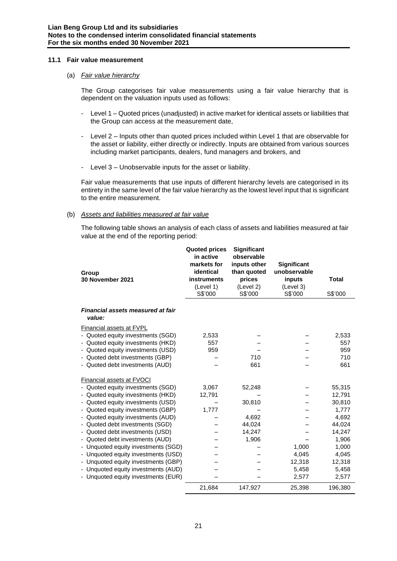#### **11.1 Fair value measurement**

#### (a) *Fair value hierarchy*

The Group categorises fair value measurements using a fair value hierarchy that is dependent on the valuation inputs used as follows:

- Level 1 Quoted prices (unadjusted) in active market for identical assets or liabilities that the Group can access at the measurement date,
- Level 2 Inputs other than quoted prices included within Level 1 that are observable for the asset or liability, either directly or indirectly. Inputs are obtained from various sources including market participants, dealers, fund managers and brokers, and
- Level 3 Unobservable inputs for the asset or liability.

Fair value measurements that use inputs of different hierarchy levels are categorised in its entirety in the same level of the fair value hierarchy as the lowest level input that is significant to the entire measurement.

# (b) *Assets and liabilities measured at fair value*

The following table shows an analysis of each class of assets and liabilities measured at fair value at the end of the reporting period:

| Group<br>30 November 2021                                                                                                                                                                                                                                                                                                                                                                                                                                                                                                  | <b>Quoted prices</b><br>in active<br>markets for<br>identical<br><b>instruments</b><br>(Level 1)<br>S\$'000 | Significant<br>observable<br>inputs other<br>than quoted<br>prices<br>(Level 2)<br>S\$'000 | <b>Significant</b><br>unobservable<br>inputs<br>(Level 3)<br>S\$'000 | <b>Total</b><br>S\$'000                                                                                                 |
|----------------------------------------------------------------------------------------------------------------------------------------------------------------------------------------------------------------------------------------------------------------------------------------------------------------------------------------------------------------------------------------------------------------------------------------------------------------------------------------------------------------------------|-------------------------------------------------------------------------------------------------------------|--------------------------------------------------------------------------------------------|----------------------------------------------------------------------|-------------------------------------------------------------------------------------------------------------------------|
| Financial assets measured at fair<br>value:                                                                                                                                                                                                                                                                                                                                                                                                                                                                                |                                                                                                             |                                                                                            |                                                                      |                                                                                                                         |
| <b>Financial assets at FVPL</b><br>- Quoted equity investments (SGD)<br>- Quoted equity investments (HKD)<br>- Quoted equity investments (USD)<br>- Quoted debt investments (GBP)<br>- Quoted debt investments (AUD)                                                                                                                                                                                                                                                                                                       | 2,533<br>557<br>959                                                                                         | 710<br>661                                                                                 |                                                                      | 2,533<br>557<br>959<br>710<br>661                                                                                       |
| Financial assets at FVOCI<br>- Quoted equity investments (SGD)<br>- Quoted equity investments (HKD)<br>- Quoted equity investments (USD)<br>- Quoted equity investments (GBP)<br>- Quoted equity investments (AUD)<br>- Quoted debt investments (SGD)<br>Quoted debt investments (USD)<br>- Quoted debt investments (AUD)<br>- Unquoted equity investments (SGD)<br>- Unquoted equity investments (USD)<br>Unquoted equity investments (GBP)<br>- Unquoted equity investments (AUD)<br>- Unquoted equity investments (EUR) | 3,067<br>12,791<br>1,777                                                                                    | 52,248<br>30,810<br>4,692<br>44,024<br>14,247<br>1,906                                     | 1,000<br>4,045<br>12,318<br>5,458<br>2,577                           | 55,315<br>12,791<br>30,810<br>1,777<br>4,692<br>44,024<br>14,247<br>1,906<br>1,000<br>4,045<br>12,318<br>5,458<br>2,577 |
|                                                                                                                                                                                                                                                                                                                                                                                                                                                                                                                            | 21,684                                                                                                      | 147,927                                                                                    | 25,398                                                               | 196,380                                                                                                                 |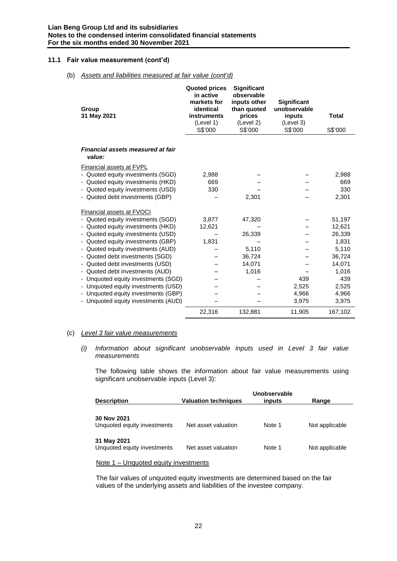#### **11.1 Fair value measurement (cont'd)**

#### (b) *Assets and liabilities measured at fair value (cont'd)*

| Group<br>31 May 2021                                                                                                                                                              | <b>Quoted prices</b><br>in active<br>markets for<br>identical<br>instruments<br>(Level 1)<br>S\$'000 | <b>Significant</b><br>observable<br>inputs other<br>than quoted<br>prices<br>(Level 2)<br>S\$'000 | <b>Significant</b><br>unobservable<br>inputs<br>(Level 3)<br>S\$'000 | <b>Total</b><br>S\$'000      |
|-----------------------------------------------------------------------------------------------------------------------------------------------------------------------------------|------------------------------------------------------------------------------------------------------|---------------------------------------------------------------------------------------------------|----------------------------------------------------------------------|------------------------------|
| Financial assets measured at fair<br>value:                                                                                                                                       |                                                                                                      |                                                                                                   |                                                                      |                              |
| <b>Financial assets at FVPL</b><br>- Quoted equity investments (SGD)<br>- Quoted equity investments (HKD)<br>- Quoted equity investments (USD)<br>- Quoted debt investments (GBP) | 2,988<br>669<br>330                                                                                  | 2,301                                                                                             |                                                                      | 2,988<br>669<br>330<br>2,301 |
| <b>Financial assets at FVOCI</b><br>- Quoted equity investments (SGD)                                                                                                             | 3,877                                                                                                | 47,320                                                                                            |                                                                      | 51,197                       |
| - Quoted equity investments (HKD)                                                                                                                                                 | 12,621                                                                                               |                                                                                                   |                                                                      | 12,621                       |
| - Quoted equity investments (USD)                                                                                                                                                 |                                                                                                      | 26,339                                                                                            |                                                                      | 26,339                       |
| - Quoted equity investments (GBP)                                                                                                                                                 | 1,831                                                                                                |                                                                                                   |                                                                      | 1,831                        |
| - Quoted equity investments (AUD)                                                                                                                                                 |                                                                                                      | 5.110                                                                                             |                                                                      | 5,110                        |
| - Quoted debt investments (SGD)                                                                                                                                                   |                                                                                                      | 36,724                                                                                            |                                                                      | 36,724                       |
| - Quoted debt investments (USD)                                                                                                                                                   |                                                                                                      | 14,071                                                                                            |                                                                      | 14,071                       |
| - Quoted debt investments (AUD)                                                                                                                                                   |                                                                                                      | 1,016                                                                                             |                                                                      | 1,016                        |
| - Unquoted equity investments (SGD)                                                                                                                                               |                                                                                                      |                                                                                                   | 439                                                                  | 439                          |
| - Unquoted equity investments (USD)                                                                                                                                               |                                                                                                      |                                                                                                   | 2,525                                                                | 2,525                        |
| - Unquoted equity investments (GBP)                                                                                                                                               |                                                                                                      |                                                                                                   | 4,966                                                                | 4,966                        |
| - Unquoted equity investments (AUD)                                                                                                                                               |                                                                                                      |                                                                                                   | 3,975                                                                | 3,975                        |
|                                                                                                                                                                                   | 22,316                                                                                               | 132,881                                                                                           | 11,905                                                               | 167,102                      |

# (c) *Level 3 fair value measurements*

*(i) Information about significant unobservable inputs used in Level 3 fair value measurements*

The following table shows the information about fair value measurements using significant unobservable inputs (Level 3):

|                             | Unobservable                |        |                |  |  |
|-----------------------------|-----------------------------|--------|----------------|--|--|
| <b>Description</b>          | <b>Valuation techniques</b> | inputs | Range          |  |  |
|                             |                             |        |                |  |  |
| 30 Nov 2021                 |                             |        |                |  |  |
| Unquoted equity investments | Net asset valuation         | Note 1 | Not applicable |  |  |
|                             |                             |        |                |  |  |
| 31 May 2021                 |                             |        |                |  |  |
| Unquoted equity investments | Net asset valuation         | Note 1 | Not applicable |  |  |

#### Note 1 – Unquoted equity investments

The fair values of unquoted equity investments are determined based on the fair values of the underlying assets and liabilities of the investee company.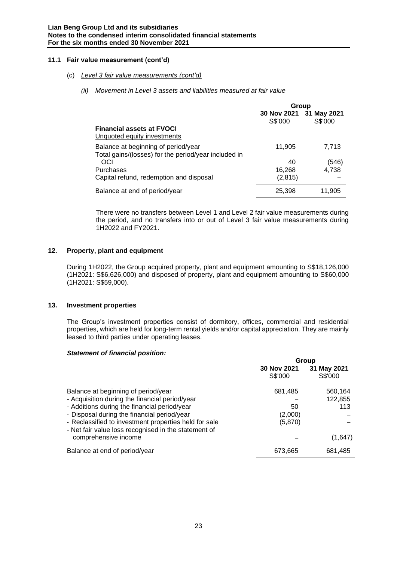### **11.1 Fair value measurement (cont'd)**

#### (c) *Level 3 fair value measurements (cont'd)*

*(ii) Movement in Level 3 assets and liabilities measured at fair value* 

|                                                                                             | Group    |                                    |
|---------------------------------------------------------------------------------------------|----------|------------------------------------|
|                                                                                             | S\$'000  | 30 Nov 2021 31 May 2021<br>S\$'000 |
| <b>Financial assets at FVOCI</b><br>Unquoted equity investments                             |          |                                    |
| Balance at beginning of period/year<br>Total gains/(losses) for the period/year included in | 11,905   | 7,713                              |
| OCI                                                                                         | 40       | (546)                              |
| Purchases                                                                                   | 16,268   | 4.738                              |
| Capital refund, redemption and disposal                                                     | (2, 815) |                                    |
| Balance at end of period/year                                                               | 25,398   | 11,905                             |

There were no transfers between Level 1 and Level 2 fair value measurements during the period, and no transfers into or out of Level 3 fair value measurements during 1H2022 and FY2021.

#### **12. Property, plant and equipment**

During 1H2022, the Group acquired property, plant and equipment amounting to S\$18,126,000 (1H2021: S\$6,626,000) and disposed of property, plant and equipment amounting to S\$60,000 (1H2021: S\$59,000).

#### **13. Investment properties**

The Group's investment properties consist of dormitory, offices, commercial and residential properties, which are held for long-term rental yields and/or capital appreciation. They are mainly leased to third parties under operating leases.

#### *Statement of financial position:*

|                                                                                                               | Group                      |         |  |
|---------------------------------------------------------------------------------------------------------------|----------------------------|---------|--|
|                                                                                                               | 30 Nov 2021<br>31 May 2021 |         |  |
|                                                                                                               | S\$'000                    | S\$'000 |  |
| Balance at beginning of period/year                                                                           | 681,485                    | 560,164 |  |
| - Acquisition during the financial period/year                                                                |                            | 122,855 |  |
| - Additions during the financial period/year                                                                  | 50                         | 113     |  |
| - Disposal during the financial period/year                                                                   | (2,000)                    |         |  |
| - Reclassified to investment properties held for sale<br>- Net fair value loss recognised in the statement of | (5,870)                    |         |  |
| comprehensive income                                                                                          |                            | (1,647) |  |
| Balance at end of period/year                                                                                 | 673,665                    | 681,485 |  |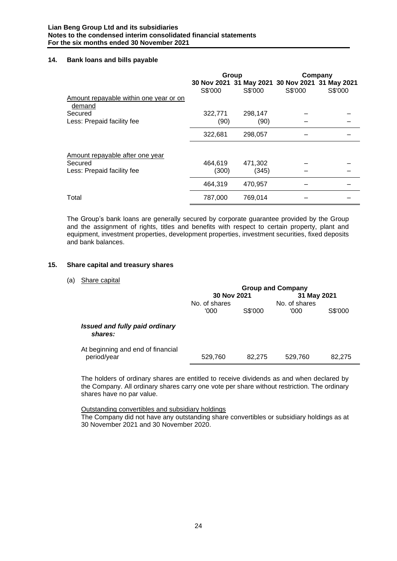#### **14. Bank loans and bills payable**

|                                        |                  | Group                                                      |         | Company |
|----------------------------------------|------------------|------------------------------------------------------------|---------|---------|
| Amount repayable within one year or on | S\$'000          | 30 Nov 2021 31 May 2021 30 Nov 2021 31 May 2021<br>S\$'000 | S\$'000 | S\$'000 |
| demand<br>Secured                      | 322,771          | 298,147                                                    |         |         |
| Less: Prepaid facility fee             | (90)             | (90)                                                       |         |         |
|                                        | 322,681          | 298,057                                                    |         |         |
| Amount repayable after one year        |                  |                                                            |         |         |
| Secured<br>Less: Prepaid facility fee  | 464,619<br>(300) | 471,302<br>(345)                                           |         |         |
|                                        | 464.319          | 470,957                                                    |         |         |
| Total                                  | 787,000          | 769,014                                                    |         |         |

The Group's bank loans are generally secured by corporate guarantee provided by the Group and the assignment of rights, titles and benefits with respect to certain property, plant and equipment, investment properties, development properties, investment securities, fixed deposits and bank balances.

#### **15. Share capital and treasury shares**

(a) Share capital

|                                                  | <b>Group and Company</b> |         |               |         |
|--------------------------------------------------|--------------------------|---------|---------------|---------|
|                                                  | 30 Nov 2021              |         | 31 May 2021   |         |
|                                                  | No. of shares            |         | No. of shares |         |
|                                                  | '000                     | S\$'000 | '000          | S\$'000 |
| <b>Issued and fully paid ordinary</b><br>shares: |                          |         |               |         |
| At beginning and end of financial<br>period/year | 529,760                  | 82.275  | 529,760       | 82,275  |

The holders of ordinary shares are entitled to receive dividends as and when declared by the Company. All ordinary shares carry one vote per share without restriction. The ordinary shares have no par value.

Outstanding convertibles and subsidiary holdings

The Company did not have any outstanding share convertibles or subsidiary holdings as at 30 November 2021 and 30 November 2020.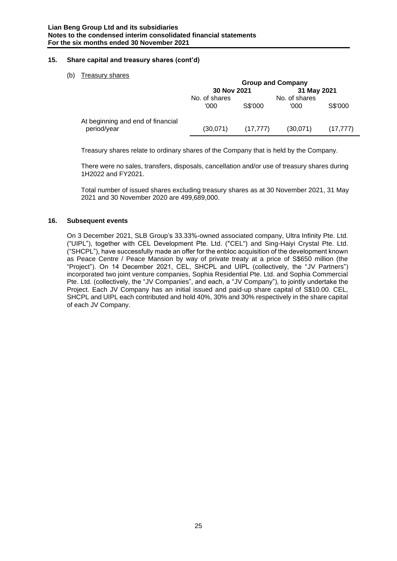# **15. Share capital and treasury shares (cont'd)**

# (b) Treasury shares

|                                                  | <b>Group and Company</b> |           |                       |           |
|--------------------------------------------------|--------------------------|-----------|-----------------------|-----------|
|                                                  | 30 Nov 2021              |           | 31 May 2021           |           |
|                                                  | No. of shares<br>'000    | S\$'000   | No. of shares<br>'000 | S\$'000   |
| At beginning and end of financial<br>period/year | (30,071)                 | (17, 777) | (30,071)              | (17, 777) |

Treasury shares relate to ordinary shares of the Company that is held by the Company.

There were no sales, transfers, disposals, cancellation and/or use of treasury shares during 1H2022 and FY2021.

Total number of issued shares excluding treasury shares as at 30 November 2021, 31 May 2021 and 30 November 2020 are 499,689,000.

# **16. Subsequent events**

On 3 December 2021, SLB Group's 33.33%-owned associated company, Ultra Infinity Pte. Ltd. ("UIPL"), together with CEL Development Pte. Ltd. ("CEL") and Sing-Haiyi Crystal Pte. Ltd. ("SHCPL"), have successfully made an offer for the enbloc acquisition of the development known as Peace Centre / Peace Mansion by way of private treaty at a price of S\$650 million (the "Project"). On 14 December 2021, CEL, SHCPL and UIPL (collectively, the "JV Partners") incorporated two joint venture companies, Sophia Residential Pte. Ltd. and Sophia Commercial Pte. Ltd. (collectively, the "JV Companies", and each, a "JV Company"), to jointly undertake the Project. Each JV Company has an initial issued and paid-up share capital of S\$10.00. CEL, SHCPL and UIPL each contributed and hold 40%, 30% and 30% respectively in the share capital of each JV Company.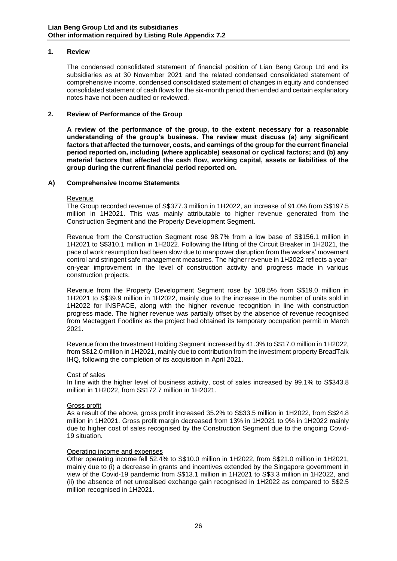### **1. Review**

The condensed consolidated statement of financial position of Lian Beng Group Ltd and its subsidiaries as at 30 November 2021 and the related condensed consolidated statement of comprehensive income, condensed consolidated statement of changes in equity and condensed consolidated statement of cash flows for the six-month period then ended and certain explanatory notes have not been audited or reviewed.

#### **2. Review of Performance of the Group**

**A review of the performance of the group, to the extent necessary for a reasonable understanding of the group's business. The review must discuss (a) any significant factors that affected the turnover, costs, and earnings of the group for the current financial period reported on, including (where applicable) seasonal or cyclical factors; and (b) any material factors that affected the cash flow, working capital, assets or liabilities of the group during the current financial period reported on.**

#### **A) Comprehensive Income Statements**

#### Revenue

The Group recorded revenue of S\$377.3 million in 1H2022, an increase of 91.0% from S\$197.5 million in 1H2021. This was mainly attributable to higher revenue generated from the Construction Segment and the Property Development Segment.

Revenue from the Construction Segment rose 98.7% from a low base of S\$156.1 million in 1H2021 to S\$310.1 million in 1H2022. Following the lifting of the Circuit Breaker in 1H2021, the pace of work resumption had been slow due to manpower disruption from the workers' movement control and stringent safe management measures. The higher revenue in 1H2022 reflects a yearon-year improvement in the level of construction activity and progress made in various construction projects.

Revenue from the Property Development Segment rose by 109.5% from S\$19.0 million in 1H2021 to S\$39.9 million in 1H2022, mainly due to the increase in the number of units sold in 1H2022 for INSPACE, along with the higher revenue recognition in line with construction progress made. The higher revenue was partially offset by the absence of revenue recognised from Mactaggart Foodlink as the project had obtained its temporary occupation permit in March 2021.

Revenue from the Investment Holding Segment increased by 41.3% to S\$17.0 million in 1H2022, from S\$12.0 million in 1H2021, mainly due to contribution from the investment property BreadTalk IHQ, following the completion of its acquisition in April 2021.

#### Cost of sales

In line with the higher level of business activity, cost of sales increased by 99.1% to S\$343.8 million in 1H2022, from S\$172.7 million in 1H2021.

#### Gross profit

As a result of the above, gross profit increased 35.2% to S\$33.5 million in 1H2022, from S\$24.8 million in 1H2021. Gross profit margin decreased from 13% in 1H2021 to 9% in 1H2022 mainly due to higher cost of sales recognised by the Construction Segment due to the ongoing Covid-19 situation.

#### Operating income and expenses

Other operating income fell 52.4% to S\$10.0 million in 1H2022, from S\$21.0 million in 1H2021, mainly due to (i) a decrease in grants and incentives extended by the Singapore government in view of the Covid-19 pandemic from S\$13.1 million in 1H2021 to S\$3.3 million in 1H2022, and (ii) the absence of net unrealised exchange gain recognised in 1H2022 as compared to S\$2.5 million recognised in 1H2021.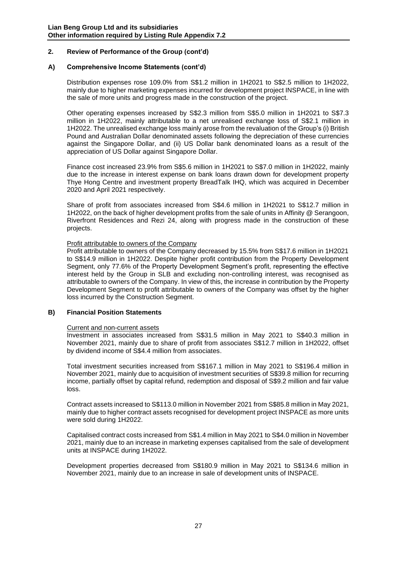# **2. Review of Performance of the Group (cont'd)**

#### **A) Comprehensive Income Statements (cont'd)**

Distribution expenses rose 109.0% from S\$1.2 million in 1H2021 to S\$2.5 million to 1H2022, mainly due to higher marketing expenses incurred for development project INSPACE, in line with the sale of more units and progress made in the construction of the project.

Other operating expenses increased by S\$2.3 million from S\$5.0 million in 1H2021 to S\$7.3 million in 1H2022, mainly attributable to a net unrealised exchange loss of S\$2.1 million in 1H2022. The unrealised exchange loss mainly arose from the revaluation of the Group's (i) British Pound and Australian Dollar denominated assets following the depreciation of these currencies against the Singapore Dollar, and (ii) US Dollar bank denominated loans as a result of the appreciation of US Dollar against Singapore Dollar.

Finance cost increased 23.9% from S\$5.6 million in 1H2021 to S\$7.0 million in 1H2022, mainly due to the increase in interest expense on bank loans drawn down for development property Thye Hong Centre and investment property BreadTalk IHQ, which was acquired in December 2020 and April 2021 respectively.

Share of profit from associates increased from S\$4.6 million in 1H2021 to S\$12.7 million in 1H2022, on the back of higher development profits from the sale of units in Affinity @ Serangoon, Riverfront Residences and Rezi 24, along with progress made in the construction of these projects.

#### Profit attributable to owners of the Company

Profit attributable to owners of the Company decreased by 15.5% from S\$17.6 million in 1H2021 to S\$14.9 million in 1H2022. Despite higher profit contribution from the Property Development Segment, only 77.6% of the Property Development Segment's profit, representing the effective interest held by the Group in SLB and excluding non-controlling interest, was recognised as attributable to owners of the Company. In view of this, the increase in contribution by the Property Development Segment to profit attributable to owners of the Company was offset by the higher loss incurred by the Construction Segment.

#### **B) Financial Position Statements**

#### Current and non-current assets

Investment in associates increased from S\$31.5 million in May 2021 to S\$40.3 million in November 2021, mainly due to share of profit from associates S\$12.7 million in 1H2022, offset by dividend income of S\$4.4 million from associates.

Total investment securities increased from S\$167.1 million in May 2021 to S\$196.4 million in November 2021, mainly due to acquisition of investment securities of S\$39.8 million for recurring income, partially offset by capital refund, redemption and disposal of S\$9.2 million and fair value loss.

Contract assets increased to S\$113.0 million in November 2021 from S\$85.8 million in May 2021, mainly due to higher contract assets recognised for development project INSPACE as more units were sold during 1H2022.

Capitalised contract costs increased from S\$1.4 million in May 2021 to S\$4.0 million in November 2021, mainly due to an increase in marketing expenses capitalised from the sale of development units at INSPACE during 1H2022.

Development properties decreased from S\$180.9 million in May 2021 to S\$134.6 million in November 2021, mainly due to an increase in sale of development units of INSPACE.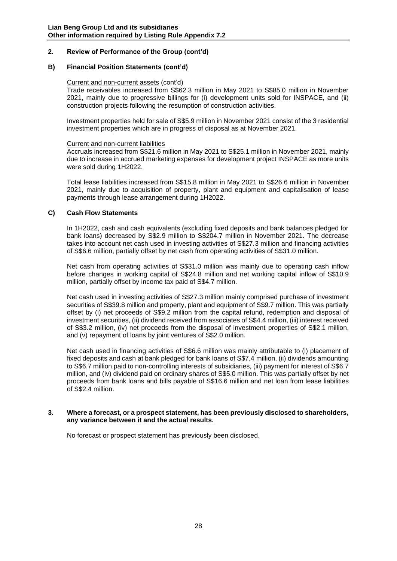# **2. Review of Performance of the Group (cont'd)**

#### **B) Financial Position Statements (cont'd)**

#### Current and non-current assets (cont'd)

Trade receivables increased from S\$62.3 million in May 2021 to S\$85.0 million in November 2021, mainly due to progressive billings for (i) development units sold for INSPACE, and (ii) construction projects following the resumption of construction activities.

Investment properties held for sale of S\$5.9 million in November 2021 consist of the 3 residential investment properties which are in progress of disposal as at November 2021.

#### Current and non-current liabilities

Accruals increased from S\$21.6 million in May 2021 to S\$25.1 million in November 2021, mainly due to increase in accrued marketing expenses for development project INSPACE as more units were sold during 1H2022.

Total lease liabilities increased from S\$15.8 million in May 2021 to S\$26.6 million in November 2021, mainly due to acquisition of property, plant and equipment and capitalisation of lease payments through lease arrangement during 1H2022.

#### **C) Cash Flow Statements**

In 1H2022, cash and cash equivalents (excluding fixed deposits and bank balances pledged for bank loans) decreased by S\$2.9 million to S\$204.7 million in November 2021. The decrease takes into account net cash used in investing activities of S\$27.3 million and financing activities of S\$6.6 million, partially offset by net cash from operating activities of S\$31.0 million.

Net cash from operating activities of S\$31.0 million was mainly due to operating cash inflow before changes in working capital of S\$24.8 million and net working capital inflow of S\$10.9 million, partially offset by income tax paid of S\$4.7 million.

Net cash used in investing activities of S\$27.3 million mainly comprised purchase of investment securities of S\$39.8 million and property, plant and equipment of S\$9.7 million. This was partially offset by (i) net proceeds of S\$9.2 million from the capital refund, redemption and disposal of investment securities, (ii) dividend received from associates of S\$4.4 million, (iii) interest received of S\$3.2 million, (iv) net proceeds from the disposal of investment properties of S\$2.1 million, and (v) repayment of loans by joint ventures of S\$2.0 million.

Net cash used in financing activities of S\$6.6 million was mainly attributable to (i) placement of fixed deposits and cash at bank pledged for bank loans of S\$7.4 million, (ii) dividends amounting to S\$6.7 million paid to non-controlling interests of subsidiaries, (iii) payment for interest of S\$6.7 million, and (iv) dividend paid on ordinary shares of S\$5.0 million. This was partially offset by net proceeds from bank loans and bills payable of S\$16.6 million and net loan from lease liabilities of S\$2.4 million.

#### **3. Where a forecast, or a prospect statement, has been previously disclosed to shareholders, any variance between it and the actual results.**

No forecast or prospect statement has previously been disclosed.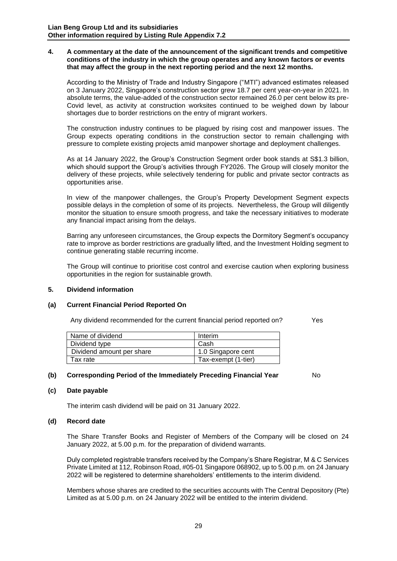#### **4. A commentary at the date of the announcement of the significant trends and competitive conditions of the industry in which the group operates and any known factors or events that may affect the group in the next reporting period and the next 12 months.**

According to the Ministry of Trade and Industry Singapore ("MTI") advanced estimates released on 3 January 2022, Singapore's construction sector grew 18.7 per cent year-on-year in 2021. In absolute terms, the value-added of the construction sector remained 26.0 per cent below its pre-Covid level, as activity at construction worksites continued to be weighed down by labour shortages due to border restrictions on the entry of migrant workers.

The construction industry continues to be plagued by rising cost and manpower issues. The Group expects operating conditions in the construction sector to remain challenging with pressure to complete existing projects amid manpower shortage and deployment challenges.

As at 14 January 2022, the Group's Construction Segment order book stands at S\$1.3 billion, which should support the Group's activities through FY2026. The Group will closely monitor the delivery of these projects, while selectively tendering for public and private sector contracts as opportunities arise.

In view of the manpower challenges, the Group's Property Development Segment expects possible delays in the completion of some of its projects. Nevertheless, the Group will diligently monitor the situation to ensure smooth progress, and take the necessary initiatives to moderate any financial impact arising from the delays.

Barring any unforeseen circumstances, the Group expects the Dormitory Segment's occupancy rate to improve as border restrictions are gradually lifted, and the Investment Holding segment to continue generating stable recurring income.

The Group will continue to prioritise cost control and exercise caution when exploring business opportunities in the region for sustainable growth.

# **5. Dividend information**

#### **(a) Current Financial Period Reported On**

Any dividend recommended for the current financial period reported on?  $Yes$ 

| Name of dividend          | Interim             |
|---------------------------|---------------------|
| Dividend type             | Cash                |
| Dividend amount per share | 1.0 Singapore cent  |
| Tax rate                  | Tax-exempt (1-tier) |

# **(b) Corresponding Period of the Immediately Preceding Financial Year** No

# **(c) Date payable**

The interim cash dividend will be paid on 31 January 2022.

#### **(d) Record date**

The Share Transfer Books and Register of Members of the Company will be closed on 24 January 2022, at 5.00 p.m. for the preparation of dividend warrants.

Duly completed registrable transfers received by the Company's Share Registrar, M & C Services Private Limited at 112, Robinson Road, #05-01 Singapore 068902, up to 5.00 p.m. on 24 January 2022 will be registered to determine shareholders' entitlements to the interim dividend.

Members whose shares are credited to the securities accounts with The Central Depository (Pte) Limited as at 5.00 p.m. on 24 January 2022 will be entitled to the interim dividend.